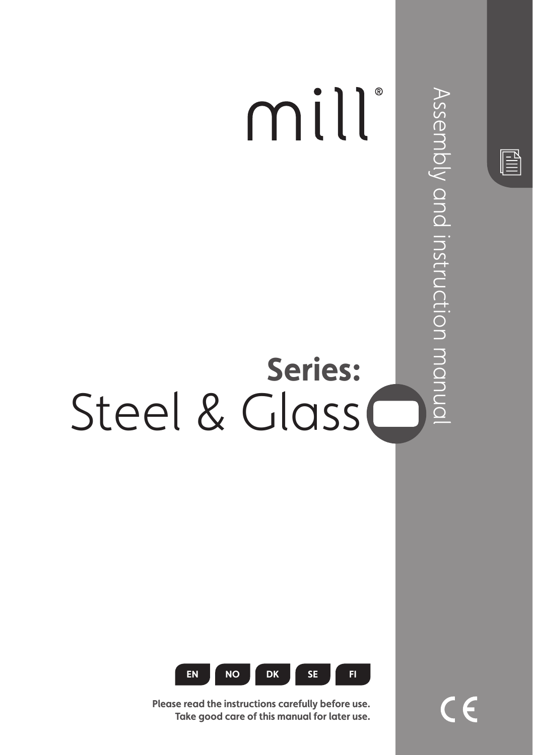



**Please read the instructions carefully before use. Take good care of this manual for later use.**  $\in \epsilon$ 

 $\mathbb{\mathbb{B}}$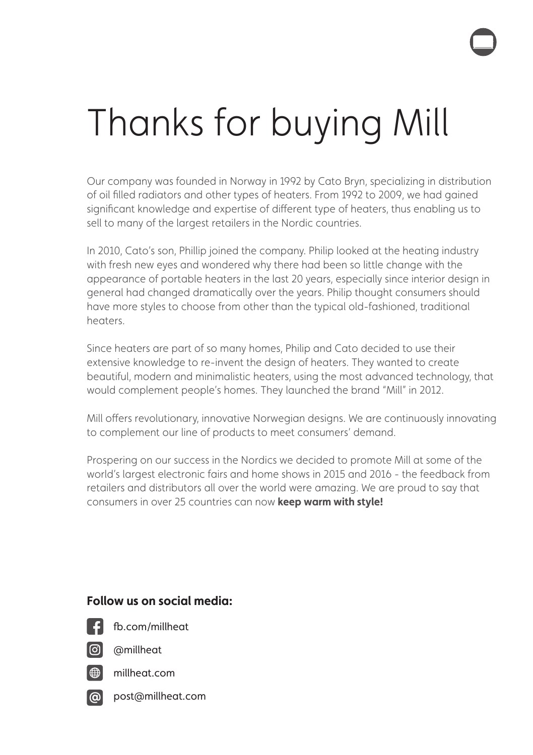# Thanks for buying Mill

Our company was founded in Norway in 1992 by Cato Bryn, specializing in distribution of oil filled radiators and other types of heaters. From 1992 to 2009, we had gained significant knowledge and expertise of different type of heaters, thus enabling us to sell to many of the largest retailers in the Nordic countries.

In 2010, Cato's son, Phillip joined the company. Philip looked at the heating industry with fresh new eyes and wondered why there had been so little change with the appearance of portable heaters in the last 20 years, especially since interior design in general had changed dramatically over the years. Philip thought consumers should have more styles to choose from other than the typical old-fashioned, traditional heaters.

Since heaters are part of so many homes, Philip and Cato decided to use their extensive knowledge to re-invent the design of heaters. They wanted to create beautiful, modern and minimalistic heaters, using the most advanced technology, that would complement people's homes. They launched the brand "Mill" in 2012.

Mill offers revolutionary, innovative Norwegian designs. We are continuously innovating to complement our line of products to meet consumers' demand.

Prospering on our success in the Nordics we decided to promote Mill at some of the world's largest electronic fairs and home shows in 2015 and 2016 - the feedback from retailers and distributors all over the world were amazing. We are proud to say that consumers in over 25 countries can now **keep warm with style!**

### **Follow us on social media:**



fb.com/millheat

@millheat



millheat.com

**@** post@millheat.com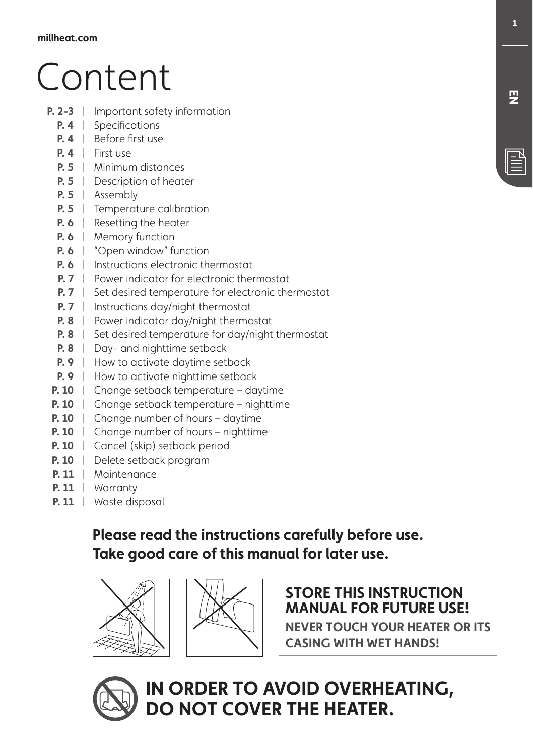# Content

- **P. 2-3** | Important safety information
	- **P. 4** Specifications
	- **P. 4** | Before first use
	- **P. 4** | First use
	- **P. 5** Minimum distances |
	- **P. 5** | Description of heater
	- **P. 5** Assembly |
	- **P. 5** Temperature calibration
	- **P. 6** | Resetting the heater
	- **P. 6** | Memory function
	- **P. 6** | "Open window" function
	- **P. 6** | Instructions electronic thermostat
	- **P. 7** Power indicator for electronic thermostat
	- **P. 7** Set desired temperature for electronic thermostat
	- **P. 7** | Instructions day/night thermostat
	- **P. 8** | Power indicator day/night thermostat
	- **P. 8**  $\parallel$  Set desired temperature for day/night thermostat
	- **P. 8** | Day- and nighttime setback
	- **P. 9** | How to activate daytime setback
	- **P. 9** | How to activate nighttime setback
	- **P. 10** | Change setback temperature daytime
	- **P. 10** | Change setback temperature nighttime
	- **P. 10** | Change number of hours daytime
	- **P. 10** | Change number of hours nighttime
	- **P. 10** | Cancel (skip) setback period
	- **P. 10** Delete setback program |
	- **P. 11** | Maintenance
	- **P. 11** Warranty |
	- **P. 11** | Waste disposal

## **Please read the instructions carefully before use. Take good care of this manual for later use.**





### **STORE THIS INSTRUCTION MANUAL FOR FUTURE USE!**

**NEVER TOUCH YOUR HEATER OR ITS CASING WITH WET HANDS!**

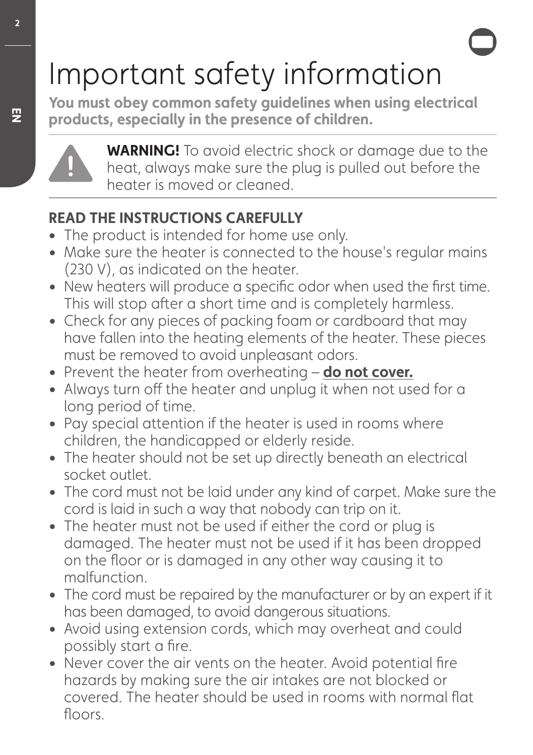# Important safety information

**You must obey common safety guidelines when using electrical products, especially in the presence of children.**



**WARNING!** To avoid electric shock or damage due to the heat, always make sure the plug is pulled out before the heater is moved or cleaned.

## **READ THE INSTRUCTIONS CAREFULLY**

- **•** The product is intended for home use only.
- Make sure the heater is connected to the house's regular mains (230 V), as indicated on the heater.
- New heaters will produce a specific odor when used the first time. This will stop after a short time and is completely harmless.
- Check for any pieces of packing foam or cardboard that may have fallen into the heating elements of the heater. These pieces must be removed to avoid unpleasant odors.
- Prevent the heater from overheating **do not cover.**
- Always turn off the heater and unplug it when not used for a long period of time.
- Pay special attention if the heater is used in rooms where children, the handicapped or elderly reside.
- The heater should not be set up directly beneath an electrical socket outlet.
- The cord must not be laid under any kind of carpet. Make sure the cord is laid in such a way that nobody can trip on it.
- The heater must not be used if either the cord or plug is damaged. The heater must not be used if it has been dropped on the floor or is damaged in any other way causing it to malfunction.
- The cord must be repaired by the manufacturer or by an expert if it has been damaged, to avoid dangerous situations.
- Avoid using extension cords, which may overheat and could possibly start a fire.
- Never cover the air vents on the heater. Avoid potential fire hazards by making sure the air intakes are not blocked or covered. The heater should be used in rooms with normal flat floors.

**EN**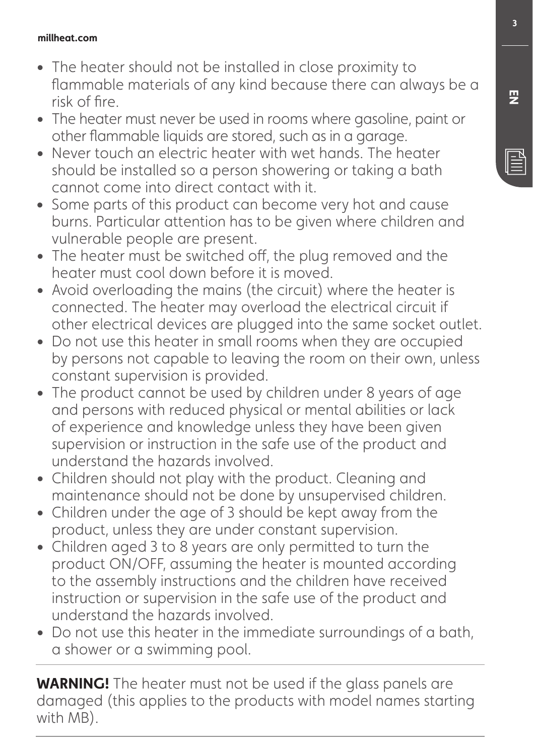### **millheat.com**

- The heater should not be installed in close proximity to flammable materials of any kind because there can always be a risk of fire.
- The heater must never be used in rooms where gasoline, paint or other flammable liquids are stored, such as in a garage.
- Never touch an electric heater with wet hands. The heater should be installed so a person showering or taking a bath cannot come into direct contact with it.
- **•** Some parts of this product can become very hot and cause burns. Particular attention has to be given where children and vulnerable people are present.
- The heater must be switched off, the plug removed and the heater must cool down before it is moved.
- Avoid overloading the mains (the circuit) where the heater is connected. The heater may overload the electrical circuit if other electrical devices are plugged into the same socket outlet.
- Do not use this heater in small rooms when they are occupied by persons not capable to leaving the room on their own, unless constant supervision is provided.
- The product cannot be used by children under 8 years of age and persons with reduced physical or mental abilities or lack of experience and knowledge unless they have been given supervision or instruction in the safe use of the product and understand the hazards involved.
- Children should not play with the product. Cleaning and maintenance should not be done by unsupervised children.
- Children under the age of 3 should be kept away from the product, unless they are under constant supervision.
- Children aged 3 to 8 years are only permitted to turn the product ON/OFF, assuming the heater is mounted according to the assembly instructions and the children have received instruction or supervision in the safe use of the product and understand the hazards involved.
- Do not use this heater in the immediate surroundings of a bath, a shower or a swimming pool.

**WARNING!** The heater must not be used if the glass panels are damaged (this applies to the products with model names starting with MB).

**巴**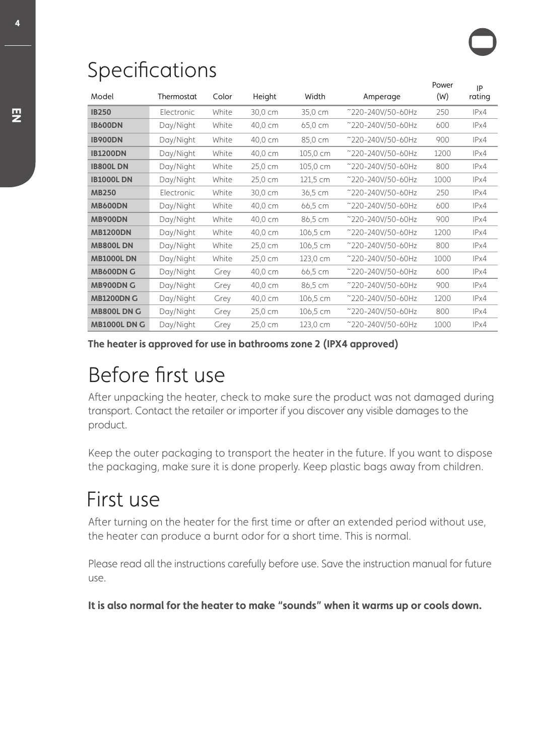## Specifications

| Model               | Thermostat | Color | Height  | Width    | Amperage          | Power<br>(W) | IP<br>rating |
|---------------------|------------|-------|---------|----------|-------------------|--------------|--------------|
| <b>IB250</b>        | Electronic | White | 30,0 cm | 35,0 cm  | ~220-240V/50-60Hz | 250          | IPx4         |
| <b>IB600DN</b>      | Day/Night  | White | 40,0 cm | 65,0 cm  | ~220-240V/50-60Hz | 600          | IPx4         |
| <b>IB900DN</b>      | Day/Night  | White | 40,0 cm | 85,0 cm  | ~220-240V/50-60Hz | 900          | IPx4         |
| <b>IB1200DN</b>     | Day/Night  | White | 40,0 cm | 105,0 cm | ~220-240V/50-60Hz | 1200         | IPx4         |
| <b>IB800LDN</b>     | Day/Night  | White | 25,0 cm | 105,0 cm | ~220-240V/50-60Hz | 800          | IPx4         |
| <b>IB1000LDN</b>    | Day/Night  | White | 25,0 cm | 121,5 cm | ~220-240V/50-60Hz | 1000         | IPx4         |
| <b>MB250</b>        | Electronic | White | 30,0 cm | 36,5 cm  | ~220-240V/50-60Hz | 250          | IPx4         |
| <b>MB600DN</b>      | Day/Night  | White | 40,0 cm | 66,5 cm  | ~220-240V/50-60Hz | 600          | IPx4         |
| <b>MB900DN</b>      | Day/Night  | White | 40,0 cm | 86,5 cm  | ~220-240V/50-60Hz | 900          | IPx4         |
| <b>MB1200DN</b>     | Day/Night  | White | 40,0 cm | 106,5 cm | ~220-240V/50-60Hz | 1200         | IPx4         |
| <b>MB800LDN</b>     | Day/Night  | White | 25,0 cm | 106,5 cm | ~220-240V/50-60Hz | 800          | IPx4         |
| <b>MB1000LDN</b>    | Day/Night  | White | 25,0 cm | 123,0 cm | ~220-240V/50-60Hz | 1000         | IPx4         |
| <b>MB600DN G</b>    | Day/Night  | Grey  | 40,0 cm | 66,5 cm  | ~220-240V/50-60Hz | 600          | IPx4         |
| <b>MB900DN G</b>    | Day/Night  | Grey  | 40,0 cm | 86,5 cm  | ~220-240V/50-60Hz | 900          | IPx4         |
| <b>MB1200DN G</b>   | Day/Night  | Grey  | 40,0 cm | 106,5 cm | ~220-240V/50-60Hz | 1200         | IPx4         |
| <b>MB800L DN G</b>  | Day/Night  | Grey  | 25,0 cm | 106,5 cm | ~220-240V/50-60Hz | 800          | IPx4         |
| <b>MB1000L DN G</b> | Day/Night  | Grey  | 25,0 cm | 123,0 cm | ~220-240V/50-60Hz | 1000         | IPx4         |

**The heater is approved for use in bathrooms zone 2 (IPX4 approved)**

## Before first use

After unpacking the heater, check to make sure the product was not damaged during transport. Contact the retailer or importer if you discover any visible damages to the product.

Keep the outer packaging to transport the heater in the future. If you want to dispose the packaging, make sure it is done properly. Keep plastic bags away from children.

## First use

After turning on the heater for the first time or after an extended period without use, the heater can produce a burnt odor for a short time. This is normal.

Please read all the instructions carefully before use. Save the instruction manual for future use.

**It is also normal for the heater to make "sounds" when it warms up or cools down.**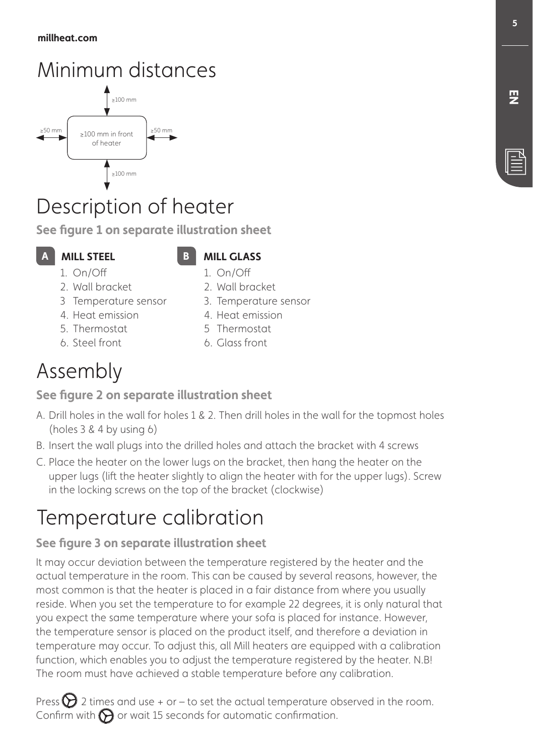## Minimum distances



## Description of heater

**See figure 1 on separate illustration sheet**

### **AILL STEEL**

### **MILL STEEL MILL GLASS** 1. On/Off

- 1. On/Off 2. Wall bracket
- 3 Temperature sensor
- 4. Heat emission
- 5. Thermostat
- 6. Steel front
- 5 Thermostat

2. Wall bracket 3. Temperature sensor 4. Heat emission

6. Glass front

## Assembly

### **See figure 2 on separate illustration sheet**

- A. Drill holes in the wall for holes 1 & 2. Then drill holes in the wall for the topmost holes (holes 3 & 4 by using 6)
- B. Insert the wall plugs into the drilled holes and attach the bracket with 4 screws
- C. Place the heater on the lower lugs on the bracket, then hang the heater on the upper lugs (lift the heater slightly to align the heater with for the upper lugs). Screw in the locking screws on the top of the bracket (clockwise)

## Temperature calibration

### **See figure 3 on separate illustration sheet**

It may occur deviation between the temperature registered by the heater and the actual temperature in the room. This can be caused by several reasons, however, the most common is that the heater is placed in a fair distance from where you usually reside. When you set the temperature to for example 22 degrees, it is only natural that you expect the same temperature where your sofa is placed for instance. However, the temperature sensor is placed on the product itself, and therefore a deviation in temperature may occur. To adjust this, all Mill heaters are equipped with a calibration function, which enables you to adjust the temperature registered by the heater. N.B! The room must have achieved a stable temperature before any calibration.

Press  $\sum$  2 times and use + or – to set the actual temperature observed in the room. Confirm with  $\bigcirc$  or wait 15 seconds for automatic confirmation.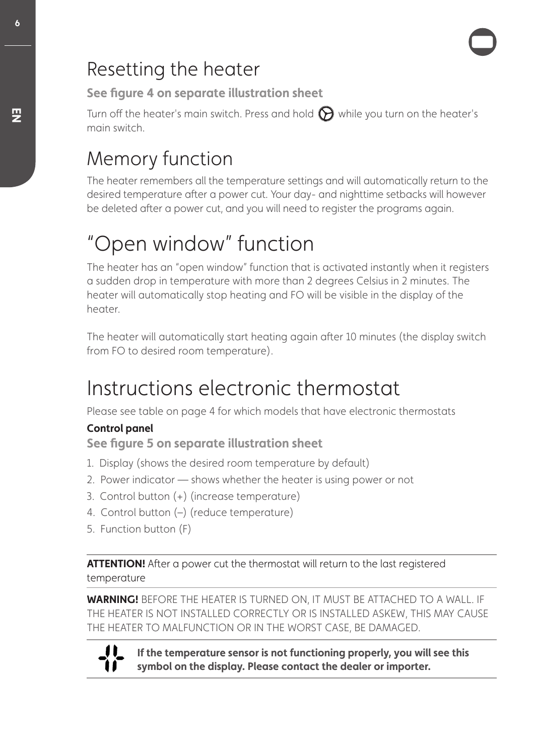## Resetting the heater

**See figure 4 on separate illustration sheet**

Turn off the heater's main switch. Press and hold  $\bigodot$  while you turn on the heater's main switch.

## Memory function

The heater remembers all the temperature settings and will automatically return to the desired temperature after a power cut. Your day- and nighttime setbacks will however be deleted after a power cut, and you will need to register the programs again.

## "Open window" function

The heater has an "open window" function that is activated instantly when it registers a sudden drop in temperature with more than 2 degrees Celsius in 2 minutes. The heater will automatically stop heating and FO will be visible in the display of the heater.

The heater will automatically start heating again after 10 minutes (the display switch from FO to desired room temperature).

## Instructions electronic thermostat

Please see table on page 4 for which models that have electronic thermostats

### **Control panel**

**See figure 5 on separate illustration sheet**

- 1. Display (shows the desired room temperature by default)
- 2. Power indicator shows whether the heater is using power or not
- 3. Control button (+) (increase temperature)
- 4. Control button (–) (reduce temperature)
- 5. Function button (F)

**ATTENTION!** After a power cut the thermostat will return to the last registered temperature

**WARNING!** BEFORE THE HEATER IS TURNED ON, IT MUST BE ATTACHED TO A WALL. IF THE HEATER IS NOT INSTALLED CORRECTLY OR IS INSTALLED ASKEW, THIS MAY CAUSE THE HEATER TO MALFUNCTION OR IN THE WORST CASE, BE DAMAGED.



**If the temperature sensor is not functioning properly, you will see this symbol on the display. Please contact the dealer or importer.**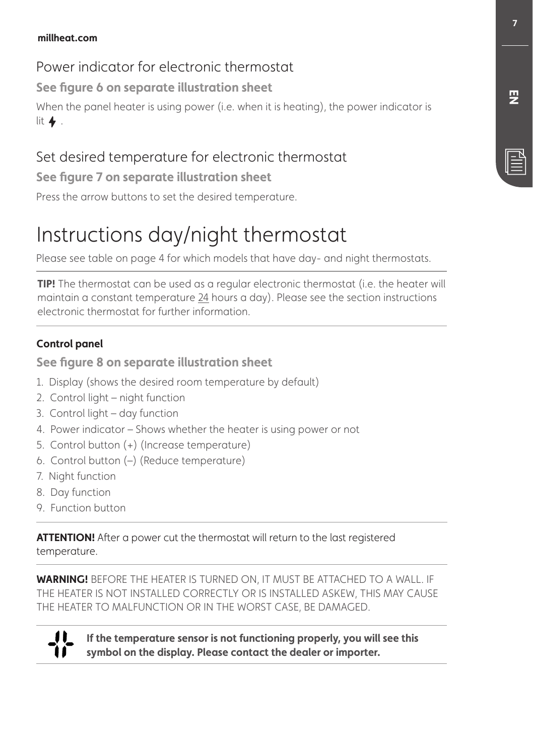## Power indicator for electronic thermostat

**See figure 6 on separate illustration sheet**

When the panel heater is using power (i.e. when it is heating), the power indicator is lit  $\blacklozenge$ .

## Set desired temperature for electronic thermostat

**See figure 7 on separate illustration sheet**

Press the arrow buttons to set the desired temperature.

## Instructions day/night thermostat

Please see table on page 4 for which models that have day- and night thermostats.

**TIP!** The thermostat can be used as a regular electronic thermostat (i.e. the heater will maintain a constant temperature 24 hours a day). Please see the section instructions electronic thermostat for further information.

### **Control panel**

**See figure 8 on separate illustration sheet**

- 1. Display (shows the desired room temperature by default)
- 2. Control light night function
- 3. Control light day function
- 4. Power indicator Shows whether the heater is using power or not
- 5. Control button (+) (Increase temperature)
- 6. Control button (–) (Reduce temperature)
- 7. Night function
- 8. Day function
- 9. Function button

**ATTENTION!** After a power cut the thermostat will return to the last registered temperature.

**WARNING!** BEFORE THE HEATER IS TURNED ON, IT MUST BE ATTACHED TO A WALL. IF THE HEATER IS NOT INSTALLED CORRECTLY OR IS INSTALLED ASKEW, THIS MAY CAUSE THE HEATER TO MALFUNCTION OR IN THE WORST CASE, BE DAMAGED.



**If the temperature sensor is not functioning properly, you will see this symbol on the display. Please contact the dealer or importer.** 

**EN**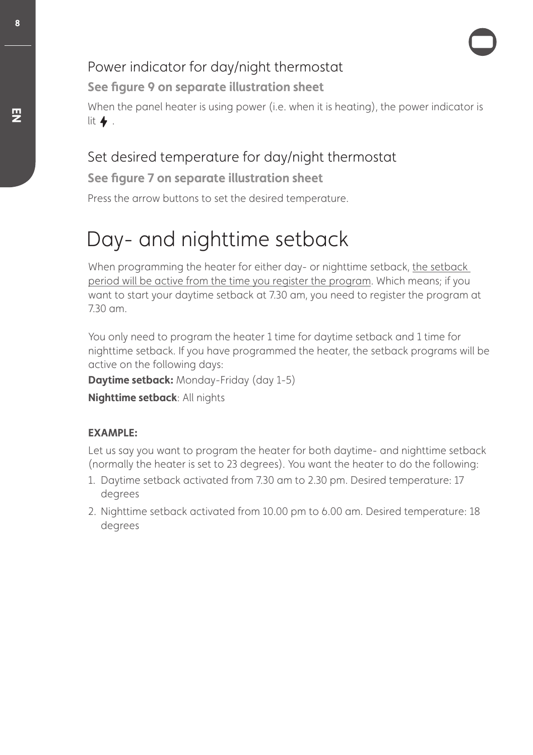## Power indicator for day/night thermostat

**See figure 9 on separate illustration sheet**

When the panel heater is using power (i.e. when it is heating), the power indicator is lit  $\blacklozenge$ .

## Set desired temperature for day/night thermostat

**See figure 7 on separate illustration sheet**

Press the arrow buttons to set the desired temperature.

## Day- and nighttime setback

When programming the heater for either day- or nighttime setback, the setback period will be active from the time you register the program. Which means; if you want to start your daytime setback at 7.30 am, you need to register the program at 7.30 am.

You only need to program the heater 1 time for daytime setback and 1 time for nighttime setback. If you have programmed the heater, the setback programs will be active on the following days:

**Daytime setback:** Monday-Friday (day 1-5)

**Nighttime setback**: All nights

### **EXAMPLE:**

Let us say you want to program the heater for both daytime- and nighttime setback (normally the heater is set to 23 degrees). You want the heater to do the following:

- 1. Daytime setback activated from 7.30 am to 2.30 pm. Desired temperature: 17 degrees
- 2. Nighttime setback activated from 10.00 pm to 6.00 am. Desired temperature: 18 degrees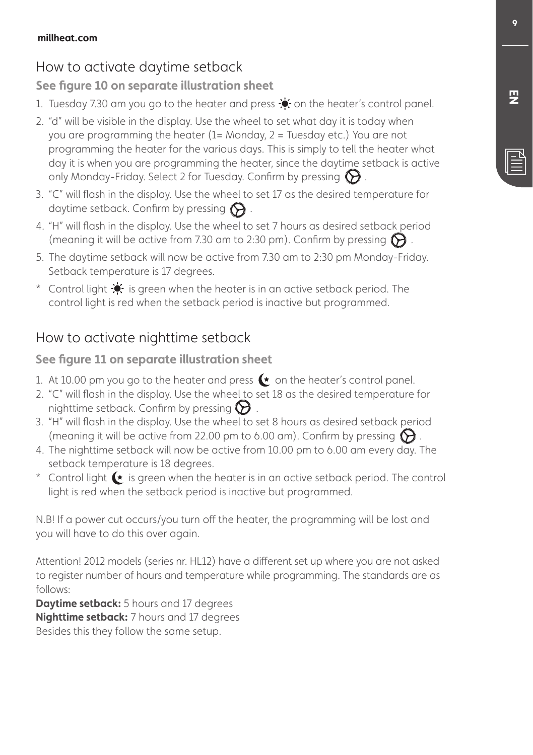## How to activate daytime setback

### **See figure 10 on separate illustration sheet**

- 1. Tuesday 7.30 am you go to the heater and press  $\bullet$  on the heater's control panel.
- 2. "d" will be visible in the display. Use the wheel to set what day it is today when you are programming the heater (1= Monday, 2 = Tuesday etc.) You are not programming the heater for the various days. This is simply to tell the heater what day it is when you are programming the heater, since the daytime setback is active only Monday-Friday. Select 2 for Tuesday. Confirm by pressing  $\Theta$ .
- 3. "C" will flash in the display. Use the wheel to set 17 as the desired temperature for daytime setback. Confirm by pressing  $\bigodot$ .
- 4. "H" will flash in the display. Use the wheel to set 7 hours as desired setback period (meaning it will be active from 7.30 am to 2:30 pm). Confirm by pressing  $\bigcirc$ .
- 5. The daytime setback will now be active from 7.30 am to 2:30 pm Monday-Friday. Setback temperature is 17 degrees.
- \* Control light  $\cdot$  is green when the heater is in an active setback period. The control light is red when the setback period is inactive but programmed.

## How to activate nighttime setback

### **See figure 11 on separate illustration sheet**

- 1. At 10.00 pm you go to the heater and press  $\bullet$  on the heater's control panel.
- 2. "C" will flash in the display. Use the wheel to set 18 as the desired temperature for nighttime setback. Confirm by pressing  $\Theta$ .
- 3. "H" will flash in the display. Use the wheel to set 8 hours as desired setback period (meaning it will be active from 22.00 pm to 6.00 am). Confirm by pressing  $\mathbf{\hat{D}}$
- 4. The nighttime setback will now be active from 10.00 pm to 6.00 am every day. The setback temperature is 18 degrees.
- \* Control light  $\leftarrow$  is green when the heater is in an active setback period. The control light is red when the setback period is inactive but programmed.

N.B! If a power cut occurs/you turn off the heater, the programming will be lost and you will have to do this over again.

Attention! 2012 models (series nr. HL12) have a different set up where you are not asked to register number of hours and temperature while programming. The standards are as follows:

**Daytime setback:** 5 hours and 17 degrees **Nighttime setback:** 7 hours and 17 degrees Besides this they follow the same setup.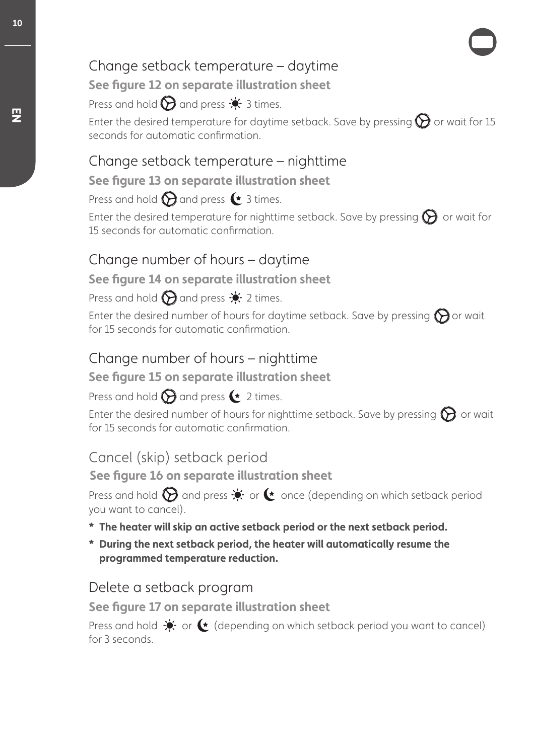## Change setback temperature – daytime

**See figure 12 on separate illustration sheet**

Press and hold  $\bigcirc$  and press  $\cdot$  3 times.

Enter the desired temperature for daytime setback. Save by pressing  $\bigcirc$  or wait for 15 seconds for automatic confirmation.

## Change setback temperature – nighttime

### **See figure 13 on separate illustration sheet**

Press and hold  $\bigcirc$  and press  $\bullet$  3 times.

Enter the desired temperature for nighttime setback. Save by pressing  $\bigcirc$  or wait for 15 seconds for automatic confirmation.

## Change number of hours – daytime

### **See figure 14 on separate illustration sheet**

Press and hold  $\bigcirc$  and press  $\bullet$  2 times.

Enter the desired number of hours for daytime setback. Save by pressing  $\bigcirc$  or wait for 15 seconds for automatic confirmation.

## Change number of hours – nighttime

### **See figure 15 on separate illustration sheet**

## Press and hold  $\bigcirc$  and press  $\leftarrow$  2 times.

Enter the desired number of hours for nighttime setback. Save by pressing  $\bigcirc$  or wait for 15 seconds for automatic confirmation.

## Cancel (skip) setback period

**See figure 16 on separate illustration sheet**

Press and hold  $\bigcirc$  and press  $\dot{\bullet}$  or  $\bullet$  once (depending on which setback period you want to cancel).

- **\* The heater will skip an active setback period or the next setback period.**
- **\* During the next setback period, the heater will automatically resume the programmed temperature reduction.**

## Delete a setback program

**See figure 17 on separate illustration sheet**

Press and hold  $\bullet$  or  $\bullet$  (depending on which setback period you want to cancel) for 3 seconds.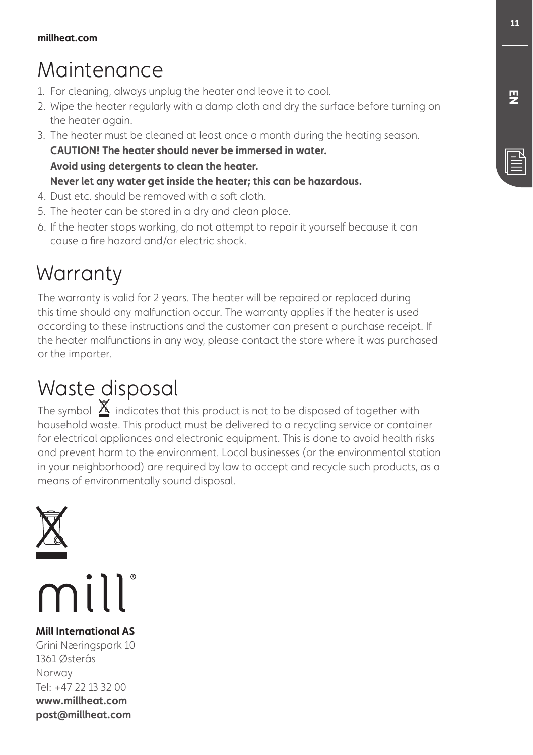## Maintenance

- 1. For cleaning, always unplug the heater and leave it to cool.
- 2. Wipe the heater regularly with a damp cloth and dry the surface before turning on the heater again.
- 3. The heater must be cleaned at least once a month during the heating season. **CAUTION! The heater should never be immersed in water. Avoid using detergents to clean the heater. Never let any water get inside the heater; this can be hazardous.**
- 4. Dust etc. should be removed with a soft cloth.
- 5. The heater can be stored in a dry and clean place.
- 6. If the heater stops working, do not attempt to repair it yourself because it can cause a fire hazard and/or electric shock.

## **Warranty**

The warranty is valid for 2 years. The heater will be repaired or replaced during this time should any malfunction occur. The warranty applies if the heater is used according to these instructions and the customer can present a purchase receipt. If the heater malfunctions in any way, please contact the store where it was purchased or the importer.

## Waste disposal

The symbol  $\underline{\mathbb{X}}$  indicates that this product is not to be disposed of together with household waste. This product must be delivered to a recycling service or container for electrical appliances and electronic equipment. This is done to avoid health risks and prevent harm to the environment. Local businesses (or the environmental station in your neighborhood) are required by law to accept and recycle such products, as a means of environmentally sound disposal.





**Mill International AS** Grini Næringspark 10 1361 Østerås Norway Tel: +47 22 13 32 00 **www.millheat.com**

**post@millheat.com**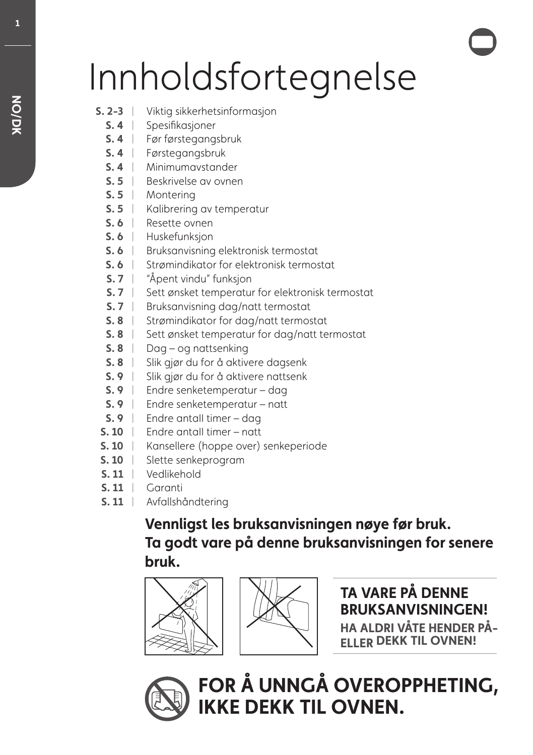# Innholdsfortegnelse

- **S. 2-3** | Viktig sikkerhetsinformasjon
	- **S. 4** | Spesifikasjoner
	- Før førstegangsbruk **S. 4** |
	- **S. 4** | Førstegangsbruk
	- **S. 4** | Minimumavstander
	- **S.5** | Beskrivelse av ovnen
	- **S.5** | Montering
	- **S. 5** | Kalibrering av temperatur
	- **S. 6** | Resette ovnen
	- **S. 6** | Huskefunksjon
	- **S. 6** | Bruksanvisning elektronisk termostat
	- **S. 6** | Strømindikator for elektronisk termostat
	- **S. 7** | "Åpent vindu" funksjon
	- **S. 7** | Sett ønsket temperatur for elektronisk termostat
	- **S. 7** | Bruksanvisning dag/natt termostat
	- **S. 8** | Strømindikator for dag/natt termostat
	- **S. 8** | Sett ønsket temperatur for dag/natt termostat
	- **S. 8** | Dag og nattsenking
	- **S. 8** | Slik gjør du for å aktivere dagsenk
	- **S. 9** | Slik gjør du for å aktivere nattsenk
	- Endre senketemperatur dag **S. 9** |
	- Endre senketemperatur natt **S. 9** |
	- Endre antaII timer dag **S. 9** |
- **S. 10** | Endre antall timer natt
- **S. 10** | Kansellere (hoppe over) senkeperiode
- **S. 10** Slette senkeprogram
- Vedlikehold **S. 11** |
- **S. 11** | Garanti
- **S. 11** | Avfallshåndtering

## **Vennligst les bruksanvisningen nøye før bruk. Ta godt vare på denne bruksanvisningen for senere bruk.**





**TA VARE PÅ DENNE BRUKSANVISNINGEN! HA ALDRI VÅTE HENDER PÅ-ELLER DEKK TIL OVNEN!**



**FOR Å UNNGÅ OVEROPPHETING, IKKE DEKK TIL OVNEN.**

**1**

**NO/DK**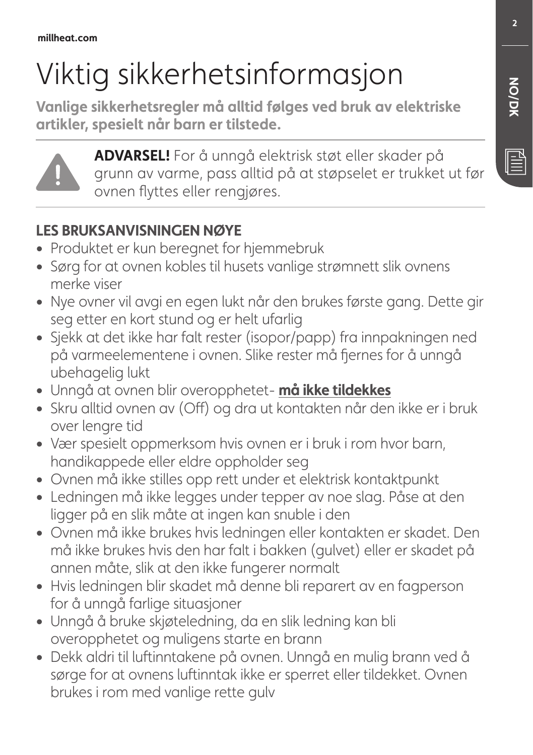# Viktig sikkerhetsinformasjon

**Vanlige sikkerhetsregler må alltid følges ved bruk av elektriske artikler, spesielt når barn er tilstede.**



**ADVARSEL!** For å unngå elektrisk støt eller skader på grunn av varme, pass alltid på at støpselet er trukket ut før ovnen flyttes eller rengjøres.

## **LES BRUKSANVISNINGEN NØYE**

- **•** Produktet er kun beregnet for hjemmebruk
- **•** Sørg for at ovnen kobles til husets vanlige strømnett slik ovnens merke viser
- **•** Nye ovner vil avgi en egen lukt når den brukes første gang. Dette gir seg etter en kort stund og er helt ufarlig
- **•** Sjekk at det ikke har falt rester (isopor/papp) fra innpakningen ned på varmeelementene i ovnen. Slike rester må fjernes for å unngå ubehagelig lukt
- **•** Unngå at ovnen blir overopphetet- **må ikke tildekkes**
- **•** Skru alltid ovnen av (Off) og dra ut kontakten når den ikke er i bruk over lengre tid
- **•** Vær spesielt oppmerksom hvis ovnen er i bruk i rom hvor barn, handikappede eller eldre oppholder seg
- **•** Ovnen må ikke stilles opp rett under et elektrisk kontaktpunkt
- **•** Ledningen må ikke legges under tepper av noe slag. Påse at den ligger på en slik måte at ingen kan snuble i den
- **•** Ovnen må ikke brukes hvis ledningen eller kontakten er skadet. Den må ikke brukes hvis den har falt i bakken (gulvet) eller er skadet på annen måte, slik at den ikke fungerer normalt
- **•** Hvis ledningen blir skadet må denne bli reparert av en fagperson for å unngå farlige situasjoner
- **•** Unngå å bruke skjøteledning, da en slik ledning kan bli overopphetet og muligens starte en brann
- **•** Dekk aldri til luftinntakene på ovnen. Unngå en mulig brann ved å sørge for at ovnens luftinntak ikke er sperret eller tildekket. Ovnen brukes i rom med vanlige rette gulv

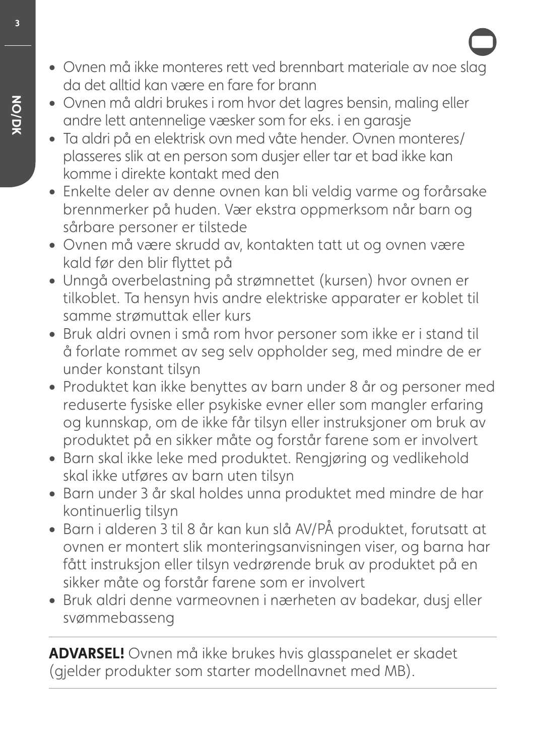- **•** Ovnen må ikke monteres rett ved brennbart materiale av noe slag da det alltid kan være en fare for brann
- **•** Ovnen må aldri brukes i rom hvor det lagres bensin, maling eller andre lett antennelige væsker som for eks. i en garasje
- **•** Ta aldri på en elektrisk ovn med våte hender. Ovnen monteres/ plasseres slik at en person som dusjer eller tar et bad ikke kan komme i direkte kontakt med den
- **•** Enkelte deler av denne ovnen kan bli veldig varme og forårsake brennmerker på huden. Vær ekstra oppmerksom når barn og sårbare personer er tilstede
- **•** Ovnen må være skrudd av, kontakten tatt ut og ovnen være kald før den blir flyttet på
- **•** Unngå overbelastning på strømnettet (kursen) hvor ovnen er tilkoblet. Ta hensyn hvis andre elektriske apparater er koblet til samme strømuttak eller kurs
- **•** Bruk aldri ovnen i små rom hvor personer som ikke er i stand til å forlate rommet av seg selv oppholder seg, med mindre de er under konstant tilsyn
- **•** Produktet kan ikke benyttes av barn under 8 år og personer med reduserte fysiske eller psykiske evner eller som mangler erfaring og kunnskap, om de ikke får tilsyn eller instruksjoner om bruk av produktet på en sikker måte og forstår farene som er involvert
- **•** Barn skal ikke leke med produktet. Rengjøring og vedlikehold skal ikke utføres av barn uten tilsyn
- **•** Barn under 3 år skal holdes unna produktet med mindre de har kontinuerlig tilsyn
- **•** Barn i alderen 3 til 8 år kan kun slå AV/PÅ produktet, forutsatt at ovnen er montert slik monteringsanvisningen viser, og barna har fått instruksjon eller tilsyn vedrørende bruk av produktet på en sikker måte og forstår farene som er involvert
- **•** Bruk aldri denne varmeovnen i nærheten av badekar, dusj eller svømmebasseng

**ADVARSEL!** Ovnen må ikke brukes hvis glasspanelet er skadet (gjelder produkter som starter modellnavnet med MB).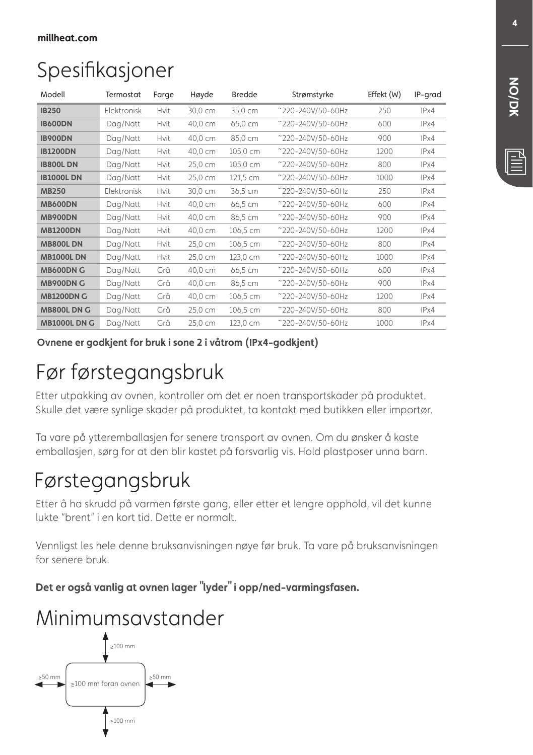## Spesifikasjoner

| Modell              | Termostat          | Farge       | Høyde   | <b>Bredde</b> | Strømstyrke       | Effekt (W) | IP-grad |
|---------------------|--------------------|-------------|---------|---------------|-------------------|------------|---------|
| <b>IB250</b>        | <b>Flektronisk</b> | Hvit        | 30,0 cm | 35,0 cm       | ~220-240V/50-60Hz | 250        | IPx4    |
| <b>IB600DN</b>      | Dag/Natt           | Hvit        | 40,0 cm | 65,0 cm       | ~220-240V/50-60Hz | 600        | IPx4    |
| <b>IB900DN</b>      | Dag/Natt           | Hvit        | 40,0 cm | 85,0 cm       | ~220-240V/50-60Hz | 900        | IPx4    |
| <b>IB1200DN</b>     | Dag/Natt           | <b>Hvit</b> | 40,0 cm | 105,0 cm      | ~220-240V/50-60Hz | 1200       | IPx4    |
| <b>IB800LDN</b>     | Dag/Natt           | Hvit        | 25,0 cm | 105,0 cm      | ~220-240V/50-60Hz | 800        | IPx4    |
| <b>IB1000L DN</b>   | Dag/Natt           | Hvit        | 25,0 cm | 121,5 cm      | ~220-240V/50-60Hz | 1000       | IPx4    |
| <b>MB250</b>        | Elektronisk        | Hvit        | 30,0 cm | 36,5 cm       | ~220-240V/50-60Hz | 250        | IPx4    |
| <b>MB600DN</b>      | Dag/Natt           | <b>Hvit</b> | 40,0 cm | 66,5 cm       | ~220-240V/50-60Hz | 600        | IPx4    |
| <b>MB900DN</b>      | Dag/Natt           | <b>Hvit</b> | 40,0 cm | 86,5 cm       | ~220-240V/50-60Hz | 900        | IPx4    |
| <b>MB1200DN</b>     | Dag/Natt           | Hvit        | 40,0 cm | 106,5 cm      | ~220-240V/50-60Hz | 1200       | IPx4    |
| <b>MB800LDN</b>     | Dag/Natt           | Hvit        | 25,0 cm | 106,5 cm      | ~220-240V/50-60Hz | 800        | IPx4    |
| <b>MB1000L DN</b>   | Dag/Natt           | <b>Hvit</b> | 25,0 cm | 123,0 cm      | ~220-240V/50-60Hz | 1000       | IPx4    |
| <b>MB600DN G</b>    | Dag/Natt           | Grå         | 40,0 cm | 66,5 cm       | ~220-240V/50-60Hz | 600        | IPx4    |
| <b>MB900DN G</b>    | Dag/Natt           | Grå         | 40,0 cm | 86,5 cm       | ~220-240V/50-60Hz | 900        | IPx4    |
| <b>MB1200DN G</b>   | Dag/Natt           | Grå         | 40,0 cm | 106,5 cm      | ~220-240V/50-60Hz | 1200       | IPx4    |
| <b>MB800L DN G</b>  | Dag/Natt           | Grå         | 25,0 cm | 106,5 cm      | ~220-240V/50-60Hz | 800        | IPx4    |
| <b>MB1000L DN G</b> | Dag/Natt           | Grå         | 25,0 cm | 123,0 cm      | ~220-240V/50-60Hz | 1000       | IPx4    |

**Ovnene er godkjent for bruk i sone 2 i våtrom (IPx4-godkjent)**

## Før førstegangsbruk

Etter utpakking av ovnen, kontroller om det er noen transportskader på produktet. Skulle det være synlige skader på produktet, ta kontakt med butikken eller importør.

Ta vare på ytteremballasjen for senere transport av ovnen. Om du ønsker å kaste emballasjen, sørg for at den blir kastet på forsvarlig vis. Hold plastposer unna barn.

## Førstegangsbruk

Etter å ha skrudd på varmen første gang, eller etter et lengre opphold, vil det kunne lukte "brent" i en kort tid. Dette er normalt.

Vennligst les hele denne bruksanvisningen nøye før bruk. Ta vare på bruksanvisningen for senere bruk.

**Det er også vanlig at ovnen lager "lyder" i opp/ned-varmingsfasen.**

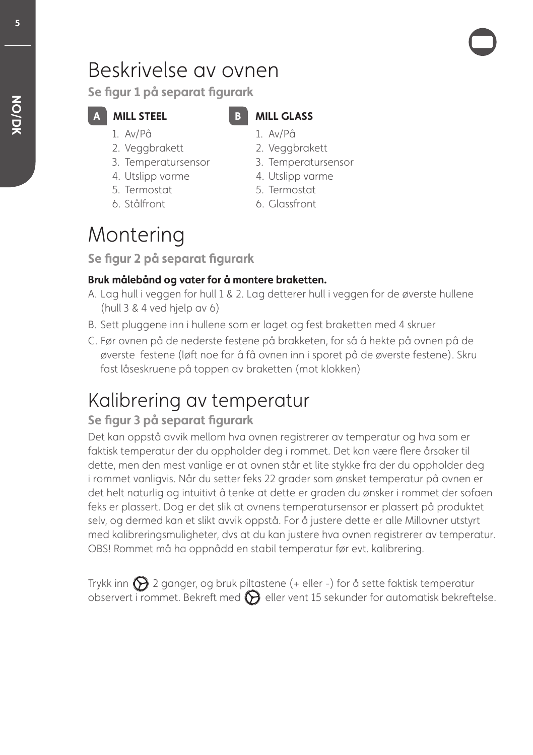## Beskrivelse av ovnen

**Se figur 1 på separat figurark**

- 1. Av/På
- 2. Veggbrakett

**A** MILL STEEL

- 3. Temperatursensor
- 4. Utslipp varme
- 5. Termostat
- 6. Stålfront

## **MILL GLASS**

- 1. Av/På
- 2. Veggbrakett
- 3. Temperatursensor
- 4. Utslipp varme
- 5. Termostat
- 6. Glassfront

## Montering

**Se figur 2 på separat figurark**

### **Bruk målebånd og vater for å montere braketten.**

- A. Lag hull i veggen for hull 1 & 2. Lag detterer hull i veggen for de øverste hullene (hull 3 & 4 ved hjelp av 6)
- B. Sett pluggene inn i hullene som er laget og fest braketten med 4 skruer
- C. Før ovnen på de nederste festene på brakketen, for så å hekte på ovnen på de øverste festene (løft noe for å få ovnen inn i sporet på de øverste festene). Skru fast låseskruene på toppen av braketten (mot klokken)

## Kalibrering av temperatur

## **Se figur 3 på separat figurark**

Det kan oppstå avvik mellom hva ovnen registrerer av temperatur og hva som er faktisk temperatur der du oppholder deg i rommet. Det kan være flere årsaker til dette, men den mest vanlige er at ovnen står et lite stykke fra der du oppholder deg i rommet vanligvis. Når du setter feks 22 grader som ønsket temperatur på ovnen er det helt naturlig og intuitivt å tenke at dette er graden du ønsker i rommet der sofaen feks er plassert. Dog er det slik at ovnens temperatursensor er plassert på produktet selv, og dermed kan et slikt avvik oppstå. For å justere dette er alle Millovner utstyrt med kalibreringsmuligheter, dvs at du kan justere hva ovnen registrerer av temperatur. OBS! Rommet må ha oppnådd en stabil temperatur før evt. kalibrering.

Trykk inn  $\bigcirc$  2 ganger, og bruk piltastene (+ eller -) for å sette faktisk temperatur observert i rommet. Bekreft med  $\bigotimes$  eller vent 15 sekunder for automatisk bekreftelse.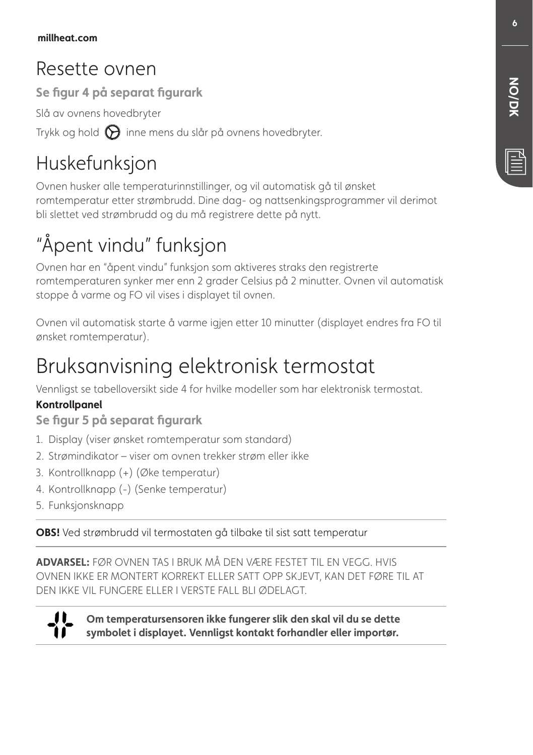## Resette ovnen

**Se figur 4 på separat figurark**

Slå av ovnens hovedbryter

Trykk og hold  $\bigodot$  inne mens du slår på ovnens hovedbryter.

## Huskefunksjon

Ovnen husker alle temperaturinnstillinger, og vil automatisk gå til ønsket romtemperatur etter strømbrudd. Dine dag- og nattsenkingsprogrammer vil derimot bli slettet ved strømbrudd og du må registrere dette på nytt.

## "Åpent vindu" funksjon

Ovnen har en "åpent vindu" funksjon som aktiveres straks den registrerte romtemperaturen synker mer enn 2 grader Celsius på 2 minutter. Ovnen vil automatisk stoppe å varme og FO vil vises i displayet til ovnen.

Ovnen vil automatisk starte å varme igjen etter 10 minutter (displayet endres fra FO til ønsket romtemperatur).

## Bruksanvisning elektronisk termostat

Vennligst se tabelloversikt side 4 for hvilke modeller som har elektronisk termostat.

### **Kontrollpanel**

**Se figur 5 på separat figurark** 

- 1. Display (viser ønsket romtemperatur som standard)
- 2. Strømindikator viser om ovnen trekker strøm eller ikke
- 3. Kontrollknapp (+) (Øke temperatur)
- 4. Kontrollknapp (-) (Senke temperatur)
- 5. Funksjonsknapp

**OBS!** Ved strømbrudd vil termostaten gå tilbake til sist satt temperatur

**ADVARSEL:** FØR OVNEN TAS I BRUK MÅ DEN VÆRE FESTET TIL EN VEGG. HVIS OVNEN IKKE ER MONTERT KORREKT ELLER SATT OPP SKJEVT, KAN DET FØRE TIL AT DEN IKKE VIL FUNGERE ELLER I VERSTE FALL BLI ØDELAGT.



**Om temperatursensoren ikke fungerer slik den skal vil du se dette symbolet i displayet. Vennligst kontakt forhandler eller importør.**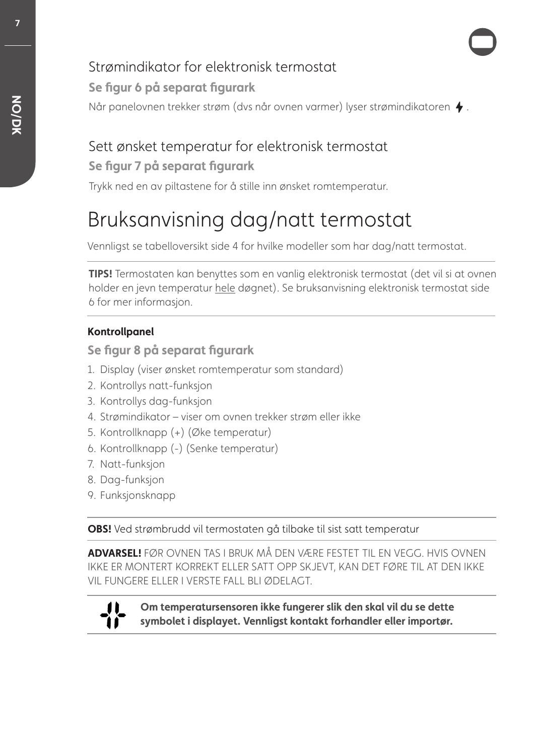## Strømindikator for elektronisk termostat

### **Se figur 6 på separat figurark**

Når panelovnen trekker strøm (dvs når ovnen varmer) lyser strømindikatoren  $\blacklozenge$ .

## Sett ønsket temperatur for elektronisk termostat

### **Se figur 7 på separat figurark**

Trykk ned en av piltastene for å stille inn ønsket romtemperatur.

## Bruksanvisning dag/natt termostat

Vennligst se tabelloversikt side 4 for hvilke modeller som har dag/natt termostat.

**TIPS!** Termostaten kan benyttes som en vanlig elektronisk termostat (det vil si at ovnen holder en jevn temperatur hele døgnet). Se bruksanvisning elektronisk termostat side 6 for mer informasjon.

### **Kontrollpanel**

**Se figur 8 på separat figurark** 

- 1. Display (viser ønsket romtemperatur som standard)
- 2. Kontrollys natt-funksjon
- 3. Kontrollys dag-funksjon
- 4. Strømindikator viser om ovnen trekker strøm eller ikke
- 5. Kontrollknapp (+) (Øke temperatur)
- 6. Kontrollknapp (-) (Senke temperatur)
- 7. Natt-funksjon
- 8. Dag-funksjon
- 9. Funksjonsknapp

**OBS!** Ved strømbrudd vil termostaten gå tilbake til sist satt temperatur

**ADVARSEL!** FØR OVNEN TAS I BRUK MÅ DEN VÆRE FESTET TIL EN VEGG. HVIS OVNEN IKKE ER MONTERT KORREKT ELLER SATT OPP SKJEVT, KAN DET FØRE TIL AT DEN IKKE VIL FUNGERE ELLER I VERSTE FALL BLI ØDELAGT.



**Om temperatursensoren ikke fungerer slik den skal vil du se dette symbolet i displayet. Vennligst kontakt forhandler eller importør.**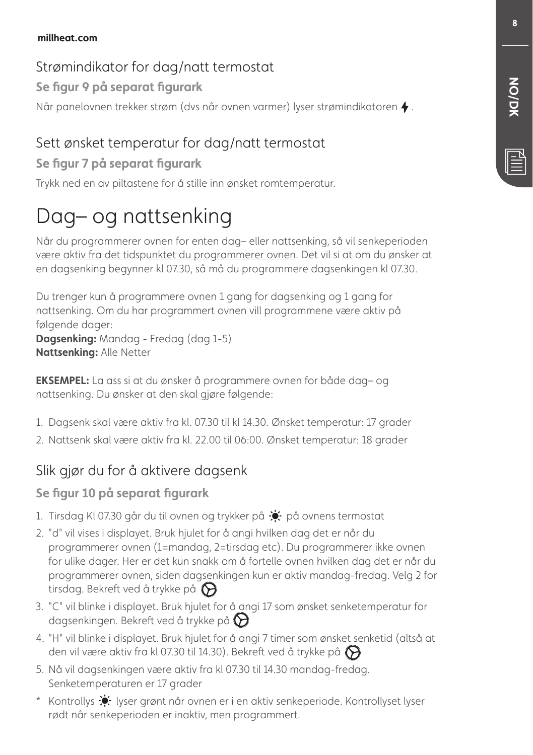## Strømindikator for dag/natt termostat

**Se figur 9 på separat figurark**

Når panelovnen trekker strøm (dvs når ovnen varmer) lyser strømindikatoren  $\blacklozenge$ .

## Sett ønsket temperatur for dag/natt termostat

## **Se figur 7 på separat figurark**

Trykk ned en av piltastene for å stille inn ønsket romtemperatur.

## Dag– og nattsenking

Når du programmerer ovnen for enten dag– eller nattsenking, så vil senkeperioden være aktiv fra det tidspunktet du programmerer ovnen. Det vil si at om du ønsker at en dagsenking begynner kl 07.30, så må du programmere dagsenkingen kl 07.30.

Du trenger kun å programmere ovnen 1 gang for dagsenking og 1 gang for nattsenking. Om du har programmert ovnen vill programmene være aktiv på følgende dager: **Dagsenking:** Mandag - Fredag (dag 1-5)

**Nattsenking:** Alle Netter

**EKSEMPEL:** La ass si at du ønsker å programmere ovnen for både dag– og nattsenking. Du ønsker at den skal gjøre følgende:

- 1. Dagsenk skal være aktiv fra kl. 07.30 til kl 14.30. Ønsket temperatur: 17 grader
- 2. Nattsenk skal være aktiv fra kl. 22.00 til 06:00. Ønsket temperatur: 18 grader

## Slik gjør du for å aktivere dagsenk

## **Se figur 10 på separat figurark**

- 1. Tirsdag KI 07.30 går du til ovnen og trykker på  $\bullet$  på ovnens termostat
- 2. "d" vil vises i displayet. Bruk hjulet for å angi hvilken dag det er når du programmerer ovnen (1=mandag, 2=tirsdag etc). Du programmerer ikke ovnen for ulike dager. Her er det kun snakk om å fortelle ovnen hvilken dag det er når du programmerer ovnen, siden dagsenkingen kun er aktiv mandag-fredag. Velg 2 for tirsdag. Bekreft ved å trykke på  $\bigodot$
- 3. "C" vil blinke i displayet. Bruk hjulet for å angi 17 som ønsket senketemperatur for dagsenkingen. Bekreft ved å trykke på  $\bigotimes$
- 4. "H" vil blinke i displayet. Bruk hjulet for å angi 7 timer som ønsket senketid (altså at den vil være aktiv fra kl 07.30 til 14.30). Bekreft ved å trykke på  $\bigotimes$
- 5. Nå vil dagsenkingen være aktiv fra kl 07.30 til 14.30 mandag-fredag. Senketemperaturen er 17 grader
- \* Kontrollys  $\dot{\bullet}$  lyser grønt når ovnen er i en aktiv senkeperiode. Kontrollyset lyser rødt når senkeperioden er inaktiv, men programmert.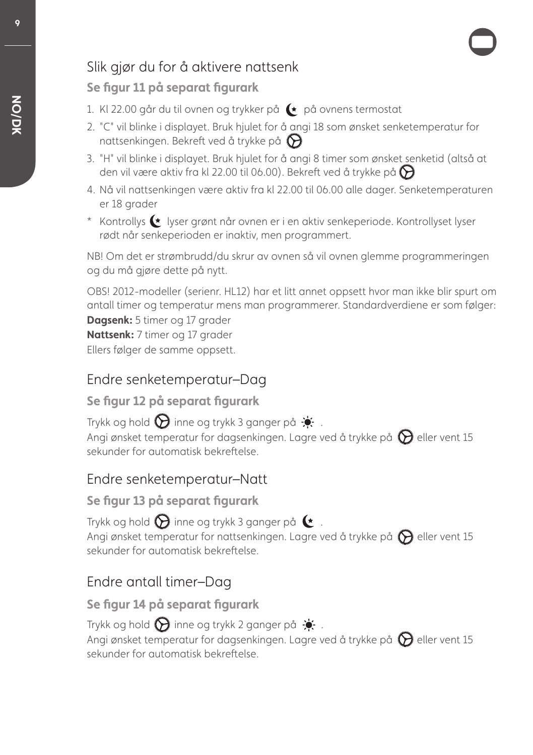## Slik gjør du for å aktivere nattsenk

### **Se figur 11 på separat figurark**

- 1. Kl 22.00 går du til ovnen og trykker på  $\leftarrow$  på ovnens termostat
- 2. "C" vil blinke i displayet. Bruk hjulet for å angi 18 som ønsket senketemperatur for nattsenkingen. Bekreft ved å trykke på  $\bigcirc$
- 3. "H" vil blinke i displayet. Bruk hjulet for å angi 8 timer som ønsket senketid (altså at den vil være aktiv fra kl 22.00 til 06.00). Bekreft ved å trykke på  $\bigodot$
- 4. Nå vil nattsenkingen være aktiv fra kl 22.00 til 06.00 alle dager. Senketemperaturen er 18 arader
- \* Kontrollys  $\blacklozenge$  lyser grønt når ovnen er i en aktiv senkeperiode. Kontrollyset lyser rødt når senkeperioden er inaktiv, men programmert.

NB! Om det er strømbrudd/du skrur av ovnen så vil ovnen glemme programmeringen og du må gjøre dette på nytt.

OBS! 2012-modeller (serienr. HL12) har et litt annet oppsett hvor man ikke blir spurt om antall timer og temperatur mens man programmerer. Standardverdiene er som følger: **Dagsenk:** 5 timer og 17 grader **Nattsenk:** 7 timer og 17 grader

Ellers følger de samme oppsett.

## Endre senketemperatur–Dag

### **Se figur 12 på separat figurark**

Trykk og hold  $\bigcirc$  inne og trykk 3 ganger på  $\bigstar$ . Angi ønsket temperatur for dagsenkingen. Lagre ved å trykke på  $\bigcirc$  eller vent 15 sekunder for automatisk bekreftelse.

## Endre senketemperatur–Natt

### **Se figur 13 på separat figurark**

Trykk og hold  $\bigcirc$  inne og trykk 3 ganger på  $\leftarrow$ . Angi ønsket temperatur for nattsenkingen. Lagre ved å trykke på  $\bigcirc$  eller vent 15 sekunder for automatisk bekreftelse.

## Endre antall timer–Dag

## **Se figur 14 på separat figurark**

Trykk og hold  $\bigcirc$  inne og trykk 2 ganger på  $\cdot$ . Angi ønsket temperatur for dagsenkingen. Lagre ved å trykke på  $\bigcirc$  eller vent 15 sekunder for automatisk bekreftelse.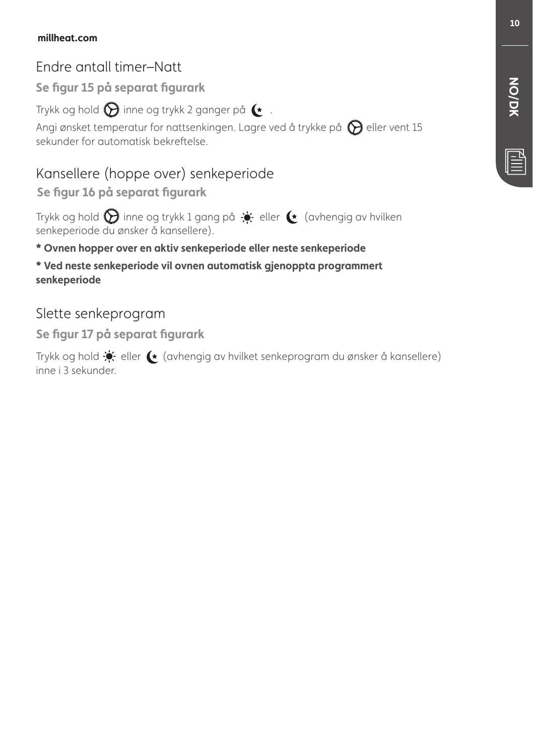### **millheat.com**

## Endre antall timer–Natt

**Se figur 15 på separat figurark**

Trykk og hold  $\bigotimes$  inne og trykk 2 ganger på  $\blacktriangleright$ .

Angi ønsket temperatur for nattsenkingen. Lagre ved å trykke på  $\bigcirc$  eller vent 15 sekunder for automatisk bekreftelse.

## Kansellere (hoppe over) senkeperiode

**Se figur 16 på separat figurark**

Trykk og hold  $\bigcirc$  inne og trykk 1 gang på  $\div$  eller  $\leftrightarrow$  (avhengig av hvilken senkeperiode du ønsker å kansellere).

### **\* Ovnen hopper over en aktiv senkeperiode eller neste senkeperiode**

**\* Ved neste senkeperiode vil ovnen automatisk gjenoppta programmert senkeperiode**

### Slette senkeprogram

**Se figur 17 på separat figurark**

Trykk og hold  $\div$  eller  $\leftarrow$  (avhengig av hvilket senkeprogram du ønsker å kansellere) inne i 3 sekunder.

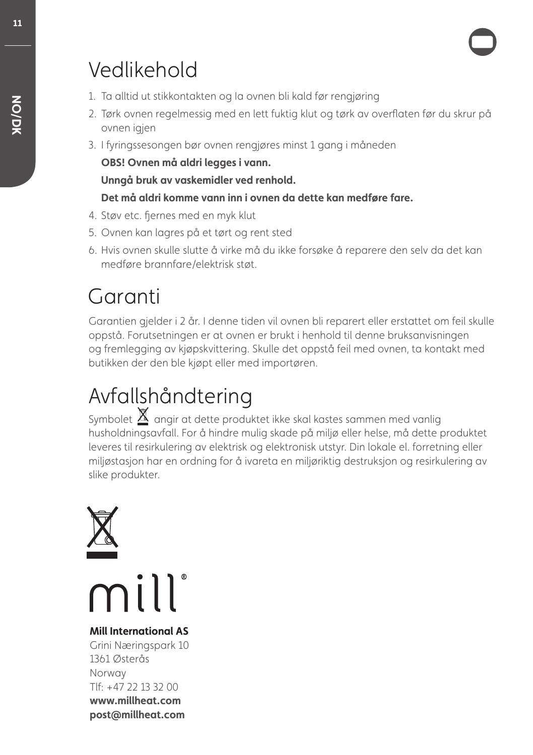## Vedlikehold

- 1. Ta alltid ut stikkontakten og Ia ovnen bli kald før rengjøring
- 2. Tørk ovnen regelmessig med en lett fuktig klut og tørk av overflaten før du skrur på ovnen jajen
- 3. I fyringssesongen bør ovnen rengjøres minst 1 gang i måneden

**OBS! Ovnen må aldri legges i vann.**

**Unngå bruk av vaskemidler ved renhold.**

### **Det må aldri komme vann inn i ovnen da dette kan medføre fare.**

- 4. Støv etc. fjernes med en myk klut
- 5. Ovnen kan lagres på et tørt og rent sted
- 6. Hvis ovnen skulle slutte å virke må du ikke forsøke å reparere den selv da det kan medføre brannfare/elektrisk støt.

## Garanti

Garantien gjelder i 2 år. I denne tiden vil ovnen bli reparert eller erstattet om feil skulle oppstå. Forutsetningen er at ovnen er brukt i henhold til denne bruksanvisningen og fremlegging av kjøpskvittering. Skulle det oppstå feil med ovnen, ta kontakt med butikken der den ble kjøpt eller med importøren.

## Avfallshåndtering

Symbolet  $\underline{\mathbb{X}}$  angir at dette produktet ikke skal kastes sammen med vanlig husholdningsavfall. For å hindre mulig skade på miljø eller helse, må dette produktet leveres til resirkulering av elektrisk og elektronisk utstyr. Din lokale el. forretning eller miljøstasjon har en ordning for å ivareta en miljøriktig destruksjon og resirkulering av slike produkter.



mill

## **Mill International AS**

Grini Næringspark 10 1361 Østerås Norway Tlf: +47 22 13 32 00 **www.millheat.com post@millheat.com**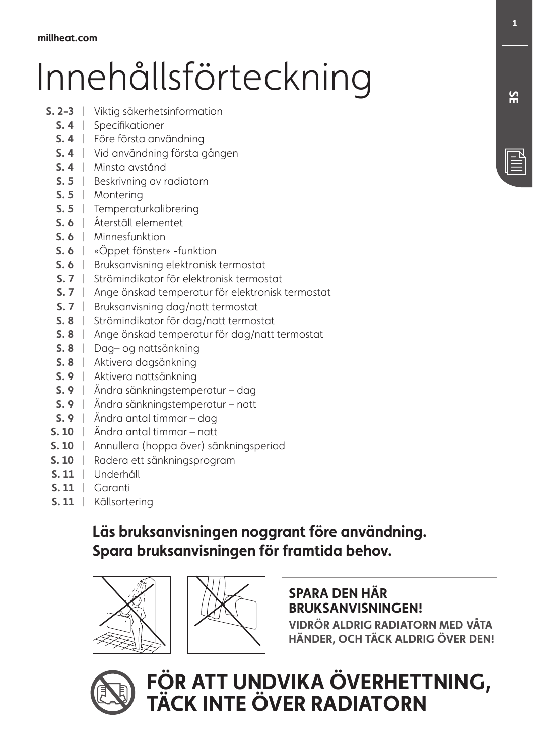# Innehållsförteckning

- **S. 2-3** Viktig säkerhetsinformation |
	- **S. 4** Specifikationer |
	- **S. 4** Före första användning |
	- **S. 4** Vid användning första gången |
	- **S. 4** Minsta avstånd |
	- **S. 5** | Beskrivning av radiatorn
	- **S. 5** Montering |
	- **S. 5** Temperaturkalibrering |
	- **S. 6** Återställ elementet |
	- **S. 6** Minnesfunktion |
	- **S. 6** | «Oppet fönster» -funktion
	- **S. 6** | Bruksanvisning elektronisk termostat
	- **S. 7** Strömindikator för elektronisk termostat |
	- **S. 7** Ange önskad temperatur för elektronisk termostat |
	- **S. 7** | Bruksanvisning dag/natt termostat
	- **S. 8** Strömindikator för dag/natt termostat |
	- **S. 8** Ange önskad temperatur för dag/natt termostat |
	- **S. 8** Dag– og nattsänkning |
	- **S. 8** Aktivera dagsänkning |
	- **S. 9** Aktivera nattsänkning |
	- **S. 9** Ändra sänkningstemperatur dag |
	- **S. 9** Ändra sänkningstemperatur natt |
	- **S. 9** Ändra antal timmar dag |
	- **S. 10** Ändra antal timmar natt |
	- **S. 10** Annullera (hoppa över) sänkningsperiod |
	- **S. 10** Radera ett sänkningsprogram |
	- **S. 11** Underhåll |
	- **S. 11** Garanti |
	- **S. 11** Källsortering |

## **Läs bruksanvisningen noggrant före användning. Spara bruksanvisningen för framtida behov.**





### **SPARA DEN HÄR BRUKSANVISNINGEN!**

**VIDRÖR ALDRIG RADIATORN MED VÅTA HÄNDER, OCH TÄCK ALDRIG ÖVER DEN!**

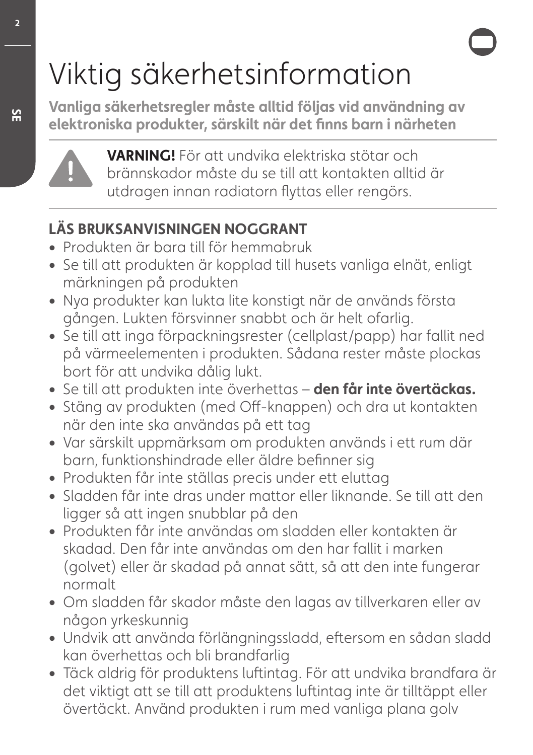# Viktig säkerhetsinformation

**Vanliga säkerhetsregler måste alltid följas vid användning av elektroniska produkter, särskilt när det finns barn i närheten** 



**VARNING!** För att undvika elektriska stötar och brännskador måste du se till att kontakten alltid är utdragen innan radiatorn flyttas eller rengörs.

## **LÄS BRUKSANVISNINGEN NOGGRANT**

- **•** Produkten är bara till för hemmabruk
- **•** Se till att produkten är kopplad till husets vanliga elnät, enligt märkningen på produkten
- **•** Nya produkter kan lukta lite konstigt när de används första gången. Lukten försvinner snabbt och är helt ofarlig.
- **•** Se till att inga förpackningsrester (cellplast/papp) har fallit ned på värmeelementen i produkten. Sådana rester måste plockas bort för att undvika dålig lukt.
- **•** Se till att produkten inte överhettas **den får inte övertäckas.**
- **•** Stäng av produkten (med Off-knappen) och dra ut kontakten när den inte ska användas på ett tag
- **•** Var särskilt uppmärksam om produkten används i ett rum där barn, funktionshindrade eller äldre befinner sig
- **•** Produkten får inte ställas precis under ett eluttag
- **•** Sladden får inte dras under mattor eller liknande. Se till att den ligger så att ingen snubblar på den
- **•** Produkten får inte användas om sladden eller kontakten är skadad. Den får inte användas om den har fallit i marken (golvet) eller är skadad på annat sätt, så att den inte fungerar normalt
- **•** Om sladden får skador måste den lagas av tillverkaren eller av någon yrkeskunnig
- **•** Undvik att använda förlängningssladd, eftersom en sådan sladd kan överhettas och bli brandfarlig
- **•** Täck aldrig för produktens luftintag. För att undvika brandfara är det viktigt att se till att produktens luftintag inte är tilltäppt eller övertäckt. Använd produkten i rum med vanliga plana golv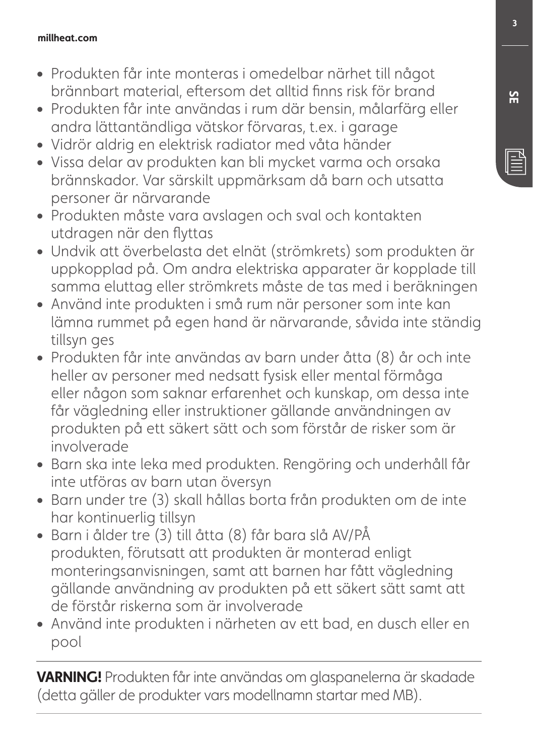### **millheat.com**

- **•** Produkten får inte monteras i omedelbar närhet till något brännbart material, eftersom det alltid finns risk för brand
- **•** Produkten får inte användas i rum där bensin, målarfärg eller andra lättantändliga vätskor förvaras, t.ex. i garage
- **•** Vidrör aldrig en elektrisk radiator med våta händer
- **•** Vissa delar av produkten kan bli mycket varma och orsaka brännskador. Var särskilt uppmärksam då barn och utsatta personer är närvarande
- **•** Produkten måste vara avslagen och sval och kontakten utdragen när den flyttas
- **•** Undvik att överbelasta det elnät (strömkrets) som produkten är uppkopplad på. Om andra elektriska apparater är kopplade till samma eluttag eller strömkrets måste de tas med i beräkningen
- **•** Använd inte produkten i små rum när personer som inte kan lämna rummet på egen hand är närvarande, såvida inte ständig tillsyn ges
- **•** Produkten får inte användas av barn under åtta (8) år och inte heller av personer med nedsatt fysisk eller mental förmåga eller någon som saknar erfarenhet och kunskap, om dessa inte får vägledning eller instruktioner gällande användningen av produkten på ett säkert sätt och som förstår de risker som är involverade
- **•** Barn ska inte leka med produkten. Rengöring och underhåll får inte utföras av barn utan översyn
- **•** Barn under tre (3) skall hållas borta från produkten om de inte har kontinuerlig tillsyn
- **•** Barn i ålder tre (3) till åtta (8) får bara slå AV/PÅ produkten, förutsatt att produkten är monterad enligt monteringsanvisningen, samt att barnen har fått vägledning gällande användning av produkten på ett säkert sätt samt att de förstår riskerna som är involverade
- **•** Använd inte produkten i närheten av ett bad, en dusch eller en pool

**VARNING!** Produkten får inte användas om glaspanelerna är skadade (detta gäller de produkter vars modellnamn startar med MB).

<u>ጅ</u>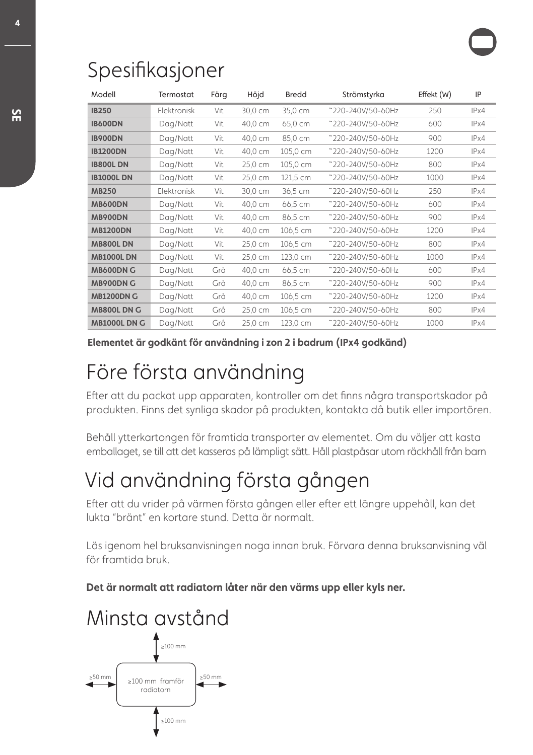## Spesifikasjoner

| Modell              | Termostat   | Färg | Höjd    | <b>Bredd</b> | Strömstyrka       | Effekt (W) | IP   |
|---------------------|-------------|------|---------|--------------|-------------------|------------|------|
| <b>IB250</b>        | Elektronisk | Vit  | 30,0 cm | 35,0 cm      | ~220-240V/50-60Hz | 250        | IPx4 |
| <b>IB600DN</b>      | Dag/Natt    | Vit  | 40,0 cm | 65,0 cm      | ~220-240V/50-60Hz | 600        | IPx4 |
| <b>IB900DN</b>      | Dag/Natt    | Vit  | 40,0 cm | 85,0 cm      | ~220-240V/50-60Hz | 900        | IPx4 |
| <b>IB1200DN</b>     | Dag/Natt    | Vit  | 40,0 cm | 105,0 cm     | ~220-240V/50-60Hz | 1200       | IPx4 |
| <b>IB800LDN</b>     | Dag/Natt    | Vit  | 25,0 cm | 105,0 cm     | ~220-240V/50-60Hz | 800        | IPx4 |
| <b>IB1000LDN</b>    | Dag/Natt    | Vit  | 25,0 cm | 121,5 cm     | ~220-240V/50-60Hz | 1000       | IPx4 |
| <b>MB250</b>        | Elektronisk | Vit  | 30,0 cm | 36,5 cm      | ~220-240V/50-60Hz | 250        | IPx4 |
| <b>MB600DN</b>      | Dag/Natt    | Vit  | 40,0 cm | 66,5 cm      | ~220-240V/50-60Hz | 600        | IPx4 |
| <b>MB900DN</b>      | Dag/Natt    | Vit  | 40,0 cm | 86,5 cm      | ~220-240V/50-60Hz | 900        | IPx4 |
| <b>MB1200DN</b>     | Dag/Natt    | Vit  | 40,0 cm | 106,5 cm     | ~220-240V/50-60Hz | 1200       | IPx4 |
| <b>MB800LDN</b>     | Dag/Natt    | Vit  | 25,0 cm | 106,5 cm     | ~220-240V/50-60Hz | 800        | IPx4 |
| <b>MB1000L DN</b>   | Dag/Natt    | Vit  | 25,0 cm | 123,0 cm     | ~220-240V/50-60Hz | 1000       | IPx4 |
| <b>MB600DN G</b>    | Dag/Natt    | Grå  | 40,0 cm | 66,5 cm      | ~220-240V/50-60Hz | 600        | IPx4 |
| <b>MB900DN G</b>    | Dag/Natt    | Grå  | 40,0 cm | 86,5 cm      | ~220-240V/50-60Hz | 900        | IPx4 |
| <b>MB1200DN G</b>   | Dag/Natt    | Grå  | 40,0 cm | 106,5 cm     | ~220-240V/50-60Hz | 1200       | IPx4 |
| MB800L DN G         | Dag/Natt    | Grå  | 25,0 cm | 106,5 cm     | ~220-240V/50-60Hz | 800        | IPx4 |
| <b>MB1000L DN G</b> | Dag/Natt    | Grå  | 25,0 cm | 123,0 cm     | ~220-240V/50-60Hz | 1000       | IPx4 |

**Elementet är godkänt för användning i zon 2 i badrum (IPx4 godkänd)**

## Före första användning

Efter att du packat upp apparaten, kontroller om det finns några transportskador på produkten. Finns det synliga skador på produkten, kontakta då butik eller importören.

Behåll ytterkartongen för framtida transporter av elementet. Om du väljer att kasta emballaget, se till att det kasseras på lämpligt sätt. Håll plastpåsar utom räckhåll från barn

## Vid användning första gången

Efter att du vrider på värmen första gången eller efter ett längre uppehåll, kan det lukta "bränt" en kortare stund. Detta är normalt.

Läs igenom hel bruksanvisningen noga innan bruk. Förvara denna bruksanvisning väl för framtida bruk.

**Det är normalt att radiatorn låter när den värms upp eller kyls ner.**

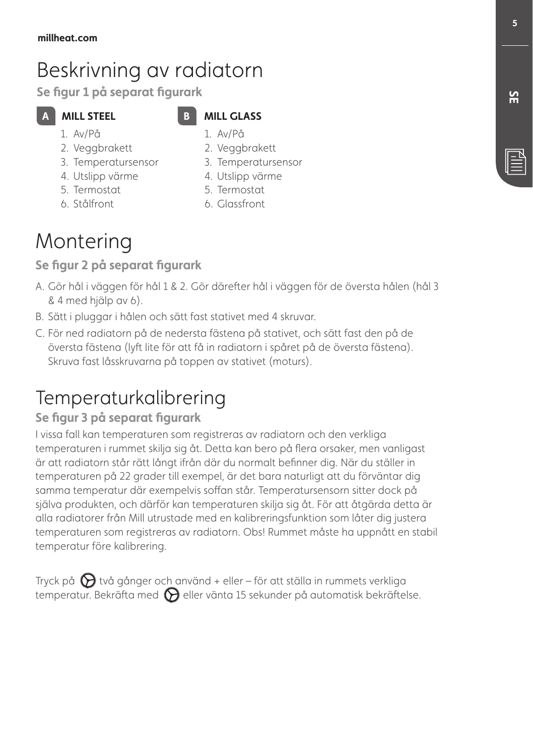## Beskrivning av radiatorn

**Se figur 1 på separat figurark**

## **A** MILL STEEL

### **MILL GLASS** 1. Av/På

- 1. Av/På 2. Veggbrakett
- 3. Temperatursensor
- 4. Utslipp värme
- 5. Termostat
- 6. Stålfront

4. Utslipp värme 5. Termostat

2. Veggbrakett 3. Temperatursensor

6. Glassfront

## **Montering**

### **Se figur 2 på separat figurark**

- A. Gör hål i väggen för hål 1 & 2. Gör därefter hål i väggen för de översta hålen (hål 3 & 4 med hjälp av 6).
- B. Sätt i pluggar i hålen och sätt fast stativet med 4 skruvar.
- C. För ned radiatorn på de nedersta fästena på stativet, och sätt fast den på de översta fästena (lyft lite för att få in radiatorn i spåret på de översta fästena). Skruva fast låsskruvarna på toppen av stativet (moturs).

## Temperaturkalibrering

### **Se figur 3 på separat figurark**

I vissa fall kan temperaturen som registreras av radiatorn och den verkliga temperaturen i rummet skilja sig åt. Detta kan bero på flera orsaker, men vanligast är att radiatorn står rätt långt ifrån där du normalt befinner dig. När du ställer in temperaturen på 22 grader till exempel, är det bara naturligt att du förväntar dig samma temperatur där exempelvis soffan står. Temperatursensorn sitter dock på själva produkten, och därför kan temperaturen skilja sig åt. För att åtgärda detta är alla radiatorer från Mill utrustade med en kalibreringsfunktion som låter dig justera temperaturen som registreras av radiatorn. Obs! Rummet måste ha uppnått en stabil temperatur före kalibrering.

Tryck på  $\bigotimes$  två gånger och använd + eller – för att ställa in rummets verkliga temperatur. Bekräfta med  $\bigotimes$  eller vänta 15 sekunder på automatisk bekräftelse. **5**

## <u>ጅ</u>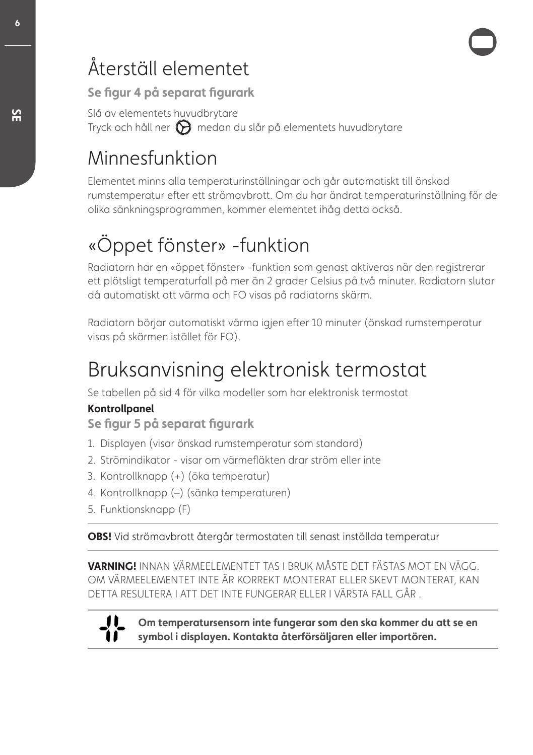## Återställ elementet

**Se figur 4 på separat figurark**

Slå av elementets huvudbrytare Tryck och håll ner  $\bigcirc$  medan du slår på elementets huvudbrytare

## Minnesfunktion

Elementet minns alla temperaturinställningar och går automatiskt till önskad rumstemperatur efter ett strömavbrott. Om du har ändrat temperaturinställning för de olika sänkningsprogrammen, kommer elementet ihåg detta också.

## «Öppet fönster» -funktion

Radiatorn har en «öppet fönster» -funktion som genast aktiveras när den registrerar ett plötsligt temperaturfall på mer än 2 grader Celsius på två minuter. Radiatorn slutar då automatiskt att värma och FO visas på radiatorns skärm.

Radiatorn börjar automatiskt värma igjen efter 10 minuter (önskad rumstemperatur visas på skärmen istället för FO).

## Bruksanvisning elektronisk termostat

Se tabellen på sid 4 för vilka modeller som har elektronisk termostat

### **Kontrollpanel**

**Se figur 5 på separat figurark** 

- 1. Displayen (visar önskad rumstemperatur som standard)
- 2. Strömindikator visar om värmefläkten drar ström eller inte
- 3. Kontrollknapp (+) (öka temperatur)
- 4. Kontrollknapp (–) (sänka temperaturen)
- 5. Funktionsknapp (F)

**OBS!** Vid strömavbrott återgår termostaten till senast inställda temperatur

**VARNING!** INNAN VÄRMEELEMENTET TAS I BRUK MÅSTE DET FÄSTAS MOT EN VÄGG. OM VÄRMEELEMENTET INTE ÄR KORREKT MONTERAT ELLER SKEVT MONTERAT, KAN DETTA RESULTERA I ATT DET INTE FUNGERAR ELLER I VÄRSTA FALL GÅR .



**Om temperatursensorn inte fungerar som den ska kommer du att se en symbol i displayen. Kontakta återförsäljaren eller importören.**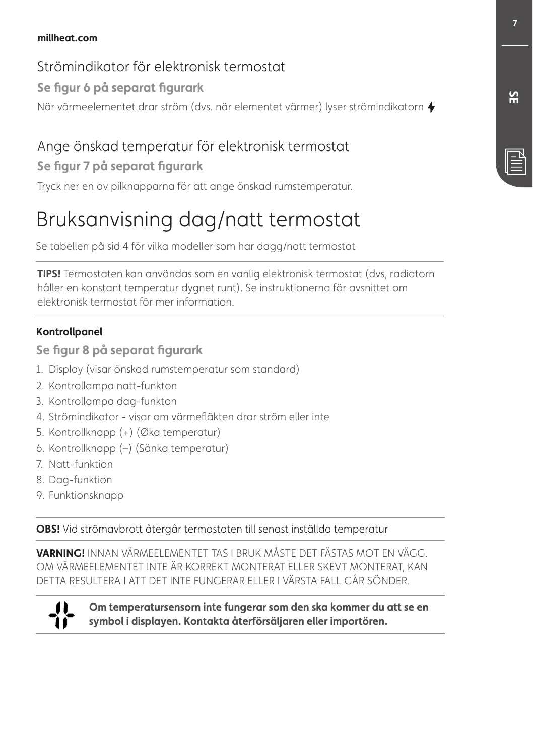### **millheat.com**

### Strömindikator för elektronisk termostat

### **Se figur 6 på separat figurark**

När värmeelementet drar ström (dvs. när elementet värmer) lyser strömindikatorn  $\blacklozenge$ 

## Ange önskad temperatur för elektronisk termostat

### **Se figur 7 på separat figurark**

Tryck ner en av pilknapparna för att ange önskad rumstemperatur.

## Bruksanvisning dag/natt termostat

Se tabellen på sid 4 för vilka modeller som har dagg/natt termostat

**TIPS!** Termostaten kan användas som en vanlig elektronisk termostat (dvs, radiatorn håller en konstant temperatur dygnet runt). Se instruktionerna för avsnittet om elektronisk termostat för mer information.

### **Kontrollpanel**

**Se figur 8 på separat figurark** 

- 1. Display (visar önskad rumstemperatur som standard)
- 2. Kontrollampa natt-funkton
- 3. Kontrollampa dag-funkton
- 4. Strömindikator visar om värmefläkten drar ström eller inte
- 5. Kontrollknapp (+) (Øka temperatur)
- 6. Kontrollknapp (–) (Sänka temperatur)
- 7. Natt-funktion
- 8. Dag-funktion
- 9. Funktionsknapp

**OBS!** Vid strömavbrott återgår termostaten till senast inställda temperatur

**VARNING!** INNAN VÄRMEELEMENTET TAS I BRUK MÅSTE DET FÄSTAS MOT EN VÄGG. OM VÄRMEELEMENTET INTE ÄR KORREKT MONTERAT ELLER SKEVT MONTERAT, KAN DETTA RESULTERA I ATT DET INTE FUNGERAR ELLER I VÄRSTA FALL GÅR SÖNDER.



**Om temperatursensorn inte fungerar som den ska kommer du att se en symbol i displayen. Kontakta återförsäljaren eller importören.**

**SE**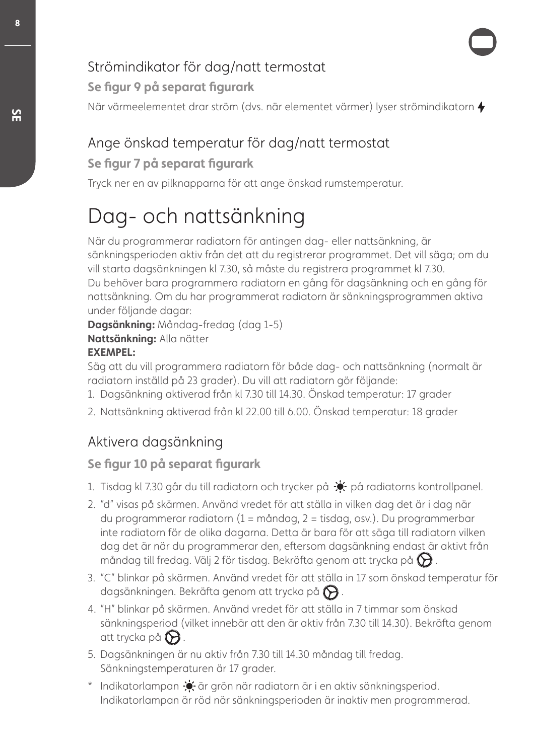## Strömindikator för dag/natt termostat

**Se figur 9 på separat figurark**

När värmeelementet drar ström (dvs. när elementet värmer) lyser strömindikatorn  $\blacklozenge$ 

## Ange önskad temperatur för dag/natt termostat

### **Se figur 7 på separat figurark**

Tryck ner en av pilknapparna för att ange önskad rumstemperatur.

## Dag- och nattsänkning

När du programmerar radiatorn för antingen dag- eller nattsänkning, är sänkningsperioden aktiv från det att du registrerar programmet. Det vill säga; om du vill starta dagsänkningen kl 7.30, så måste du registrera programmet kl 7.30. Du behöver bara programmera radiatorn en gång för dagsänkning och en gång för nattsänkning. Om du har programmerat radiatorn är sänkningsprogrammen aktiva under följande dagar:

**Dagsänkning:** Måndag-fredag (dag 1-5)

**Nattsänkning:** Alla nätter

### **EXEMPEL:**

Säg att du vill programmera radiatorn för både dag- och nattsänkning (normalt är radiatorn inställd på 23 grader). Du vill att radiatorn gör följande:

- 1. Dagsänkning aktiverad från kl 7.30 till 14.30. Önskad temperatur: 17 grader
- 2. Nattsänkning aktiverad från kl 22.00 till 6.00. Önskad temperatur: 18 grader

## Aktivera dagsänkning

## **Se figur 10 på separat figurark**

- 1. Tisdag kl 7.30 går du till radiatorn och trycker på  $\div$  på radiatorns kontrollpanel.
- 2. "d" visas på skärmen. Använd vredet för att ställa in vilken dag det är i dag när du programmerar radiatorn (1 = måndag, 2 = tisdag, osv.). Du programmerbar inte radiatorn för de olika dagarna. Detta är bara för att säga till radiatorn vilken dag det är när du programmerar den, eftersom dagsänkning endast är aktivt från måndag till fredag. Välj 2 för tisdag. Bekräfta genom att trycka på  $\bigotimes$ .
- 3. "C" blinkar på skärmen. Använd vredet för att ställa in 17 som önskad temperatur för dagsänkningen. Bekräfta genom att trycka på  $\bigotimes$ .
- 4. "H" blinkar på skärmen. Använd vredet för att ställa in 7 timmar som önskad sänkningsperiod (vilket innebär att den är aktiv från 7.30 till 14.30). Bekräfta genom att trycka på  $\Theta$ .
- 5. Dagsänkningen är nu aktiv från 7.30 till 14.30 måndag till fredag. Sänkningstemperaturen är 17 grader.
- \* Indikatorlampan  $\bullet$  är grön när radiatorn är i en aktiv sänkningsperiod. Indikatorlampan är röd när sänkningsperioden är inaktiv men programmerad.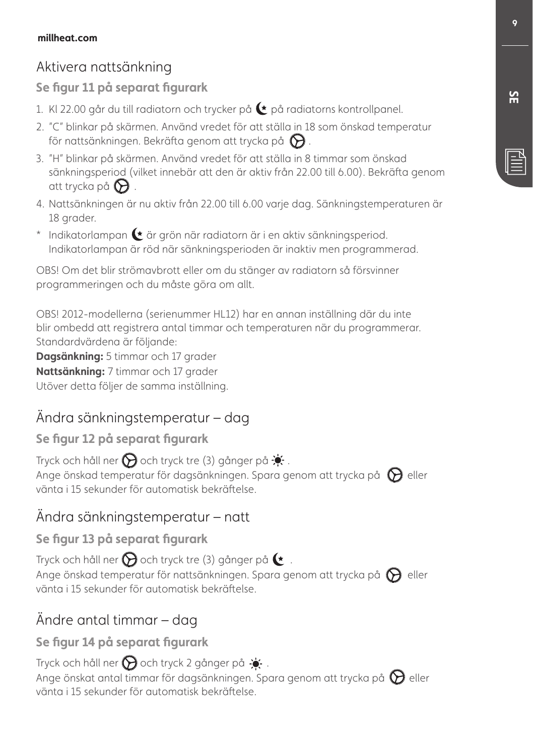## Aktivera nattsänkning

### **Se figur 11 på separat figurark**

- 1. KI 22.00 går du till radiatorn och trycker på  $\bullet$  på radiatorns kontrollpanel.
- 2. "C" blinkar på skärmen. Använd vredet för att ställa in 18 som önskad temperatur för nattsänkningen. Bekräfta genom att trycka på  $\bigotimes$ .
- 3. "H" blinkar på skärmen. Använd vredet för att ställa in 8 timmar som önskad sänkningsperiod (vilket innebär att den är aktiv från 22.00 till 6.00). Bekräfta genom att trycka på  $\Theta$ .
- 4. Nattsänkningen är nu aktiv från 22.00 till 6.00 varje dag. Sänkningstemperaturen är 18 grader.
- $*$  Indikatorlampan  $\blacktriangleright$  är grön när radiatorn är i en aktiv sänkningsperiod. Indikatorlampan är röd när sänkningsperioden är inaktiv men programmerad.

OBS! Om det blir strömavbrott eller om du stänger av radiatorn så försvinner programmeringen och du måste göra om allt.

OBS! 2012-modellerna (serienummer HL12) har en annan inställning där du inte blir ombedd att registrera antal timmar och temperaturen när du programmerar. Standardvärdena är följande:

**Dagsänkning:** 5 timmar och 17 grader **Nattsänkning:** 7 timmar och 17 grader Utöver detta följer de samma inställning.

## Ändra sänkningstemperatur – dag

### **Se figur 12 på separat figurark**

Tryck och håll ner  $\bigotimes$  och tryck tre (3) gånger på  $\bullet$ . Ange önskad temperatur för dagsänkningen. Spara genom att trycka på  $\bigcirc$  eller vänta i 15 sekunder för automatisk bekräftelse.

## Ändra sänkningstemperatur – natt

### **Se figur 13 på separat figurark**

Tryck och håll ner  $\bigcirc$  och tryck tre (3) gånger på  $\bullet$ . Ange önskad temperatur för nattsänkningen. Spara genom att trycka på  $\bigcirc$  eller vänta i 15 sekunder för automatisk bekräftelse.

## Ändre antal timmar – dag

### **Se figur 14 på separat figurark**

Tryck och håll ner  $\bigotimes$  och tryck 2 gånger på  $\cdot$ . Ange önskat antal timmar för dagsänkningen. Spara genom att trycka på  $\bigotimes$  eller vänta i 15 sekunder för automatisk bekräftelse.

<u>ጅ</u>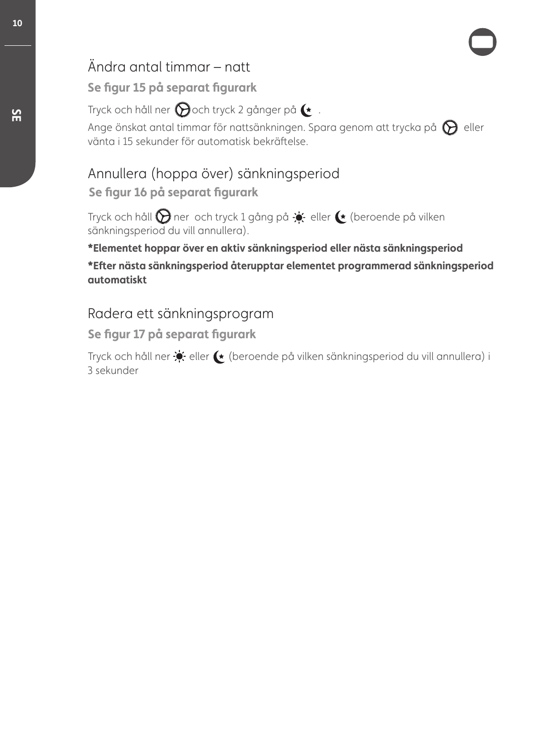## Ändra antal timmar – natt

### **Se figur 15 på separat figurark**

Tryck och håll ner  $\bigcirc$ och tryck 2 gånger på  $\rightarrow$ .

Ange önskat antal timmar för nattsänkningen. Spara genom att trycka på  $\bigcirc$  eller vänta i 15 sekunder för automatisk bekräftelse.

## Annullera (hoppa över) sänkningsperiod **Se figur 16 på separat figurark**

Tryck och håll  $\bigcirc$  ner och tryck 1 gång på  $\div$  eller  $\leftrightarrow$  (beroende på vilken sänkningsperiod du vill annullera).

**\*Elementet hoppar över en aktiv sänkningsperiod eller nästa sänkningsperiod**

**\*Efter nästa sänkningsperiod återupptar elementet programmerad sänkningsperiod automatiskt**

### Radera ett sänkningsprogram

**Se figur 17 på separat figurark**

Tryck och håll ner  $\blacklozenge$  eller  $\blacklozenge$  (beroende på vilken sänkningsperiod du vill annullera) i 3 sekunder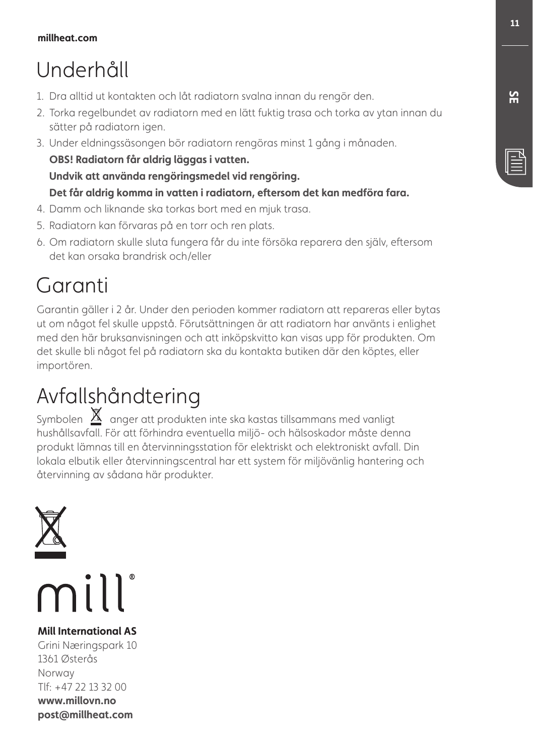## Underhåll

- 1. Dra alltid ut kontakten och låt radiatorn svalna innan du rengör den.
- 2. Torka regelbundet av radiatorn med en lätt fuktig trasa och torka av ytan innan du sätter på radiatorn igen.
- 3. Under eldningssäsongen bör radiatorn rengöras minst 1 gång i månaden. **OBS! Radiatorn får aldrig läggas i vatten. Undvik att använda rengöringsmedel vid rengöring. Det får aldrig komma in vatten i radiatorn, eftersom det kan medföra fara.**
- 4. Damm och liknande ska torkas bort med en mjuk trasa.
- 5. Radiatorn kan förvaras på en torr och ren plats.
- 6. Om radiatorn skulle sluta fungera får du inte försöka reparera den själv, eftersom det kan orsaka brandrisk och/eller

## Garanti

Garantin gäller i 2 år. Under den perioden kommer radiatorn att repareras eller bytas ut om något fel skulle uppstå. Förutsättningen är att radiatorn har använts i enlighet med den här bruksanvisningen och att inköpskvitto kan visas upp för produkten. Om det skulle bli något fel på radiatorn ska du kontakta butiken där den köptes, eller importören.

## Avfallshåndtering

Symbolen  $\underline{\mathbb{X}}$  anger att produkten inte ska kastas tillsammans med vanligt hushållsavfall. För att förhindra eventuella miljö- och hälsoskador måste denna produkt lämnas till en återvinningsstation för elektriskt och elektroniskt avfall. Din lokala elbutik eller återvinningscentral har ett system för miljövänlig hantering och återvinning av sådana här produkter.



**Mill International AS** Grini Næringspark 10 1361 Østerås Norway Tlf: +47 22 13 32 00 **www.millovn.no post@millheat.com**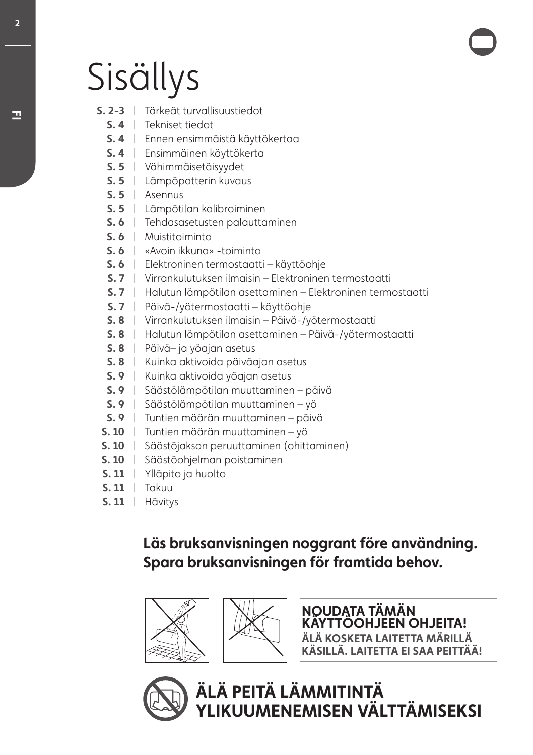# Sisällys

- **S. 2-3** | Tärkeät turvallisuustiedot
	- **S. 4** Tekniset tiedot |
	- **S. 4** Ennen ensimmäistä käyttökertaa |
	- **S. 4** Ensimmäinen käyttökerta |
	- **S. 5** Vähimmäisetäisyydet |
	- **S. 5** Lämpöpatterin kuvaus |
	- **S. 5** Asennus |
	- **S. 5** Lämpötilan kalibroiminen |
	- **S. 6** Tehdasasetusten palauttaminen |
	- **S. 6** Muistitoiminto |
	- **S. 6** «Avoin ikkuna» -toiminto |
	- **S. 6** Elektroninen termostaatti käyttöohje |
	- **S. 7** Virrankulutuksen ilmaisin Elektroninen termostaatti |
	- **S. 7** Halutun lämpötilan asettaminen Elektroninen termostaatti |
	- **S. 7** Päivä-/yötermostaatti käyttöohje |
	- **S. 8** Virrankulutuksen ilmaisin Päivä-/yötermostaatti |
	- **S. 8** Halutun lämpötilan asettaminen Päivä-/yötermostaatti |
	- **S. 8** Päivä– ja yöajan asetus |
	- **S. 8** Kuinka aktivoida päiväajan asetus |
	- **S. 9** Kuinka aktivoida yöajan asetus |
	- **S. 9** Säästölämpötilan muuttaminen päivä |
	- **S. 9** Säästölämpötilan muuttaminen yö |
	- **S. 9** Tuntien määrän muuttaminen päivä |
- **S. 10** Tuntien määrän muuttaminen yö |
- **S. 10** Säästöjakson peruuttaminen (ohittaminen) |
- **S. 10** Säästöohjelman poistaminen |
- **S. 11** Ylläpito ja huolto |
- **S. 11** Takuu |
- **S. 11** Hävitys |

## **Läs bruksanvisningen noggrant före användning. Spara bruksanvisningen för framtida behov.**





**NOUDATA TÄMÄN KÄYTTÖOHJEEN OHJEITA! ÄLÄ KOSKETA LAITETTA MÄRILLÄ KÄSILLÄ. LAITETTA EI SAA PEITTÄÄ!**



**ÄLÄ PEITÄ LÄMMITINTÄ YLIKUUMENEMISEN VÄLTTÄMISEKSI**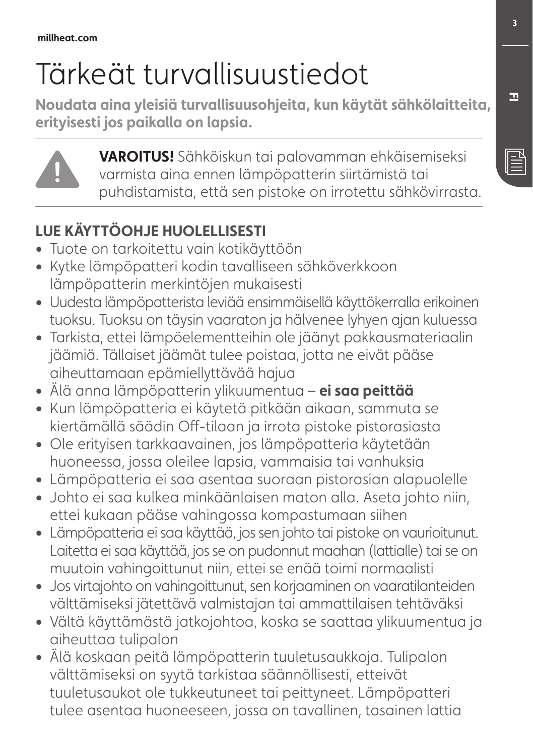# Tärkeät turvallisuustiedot

**Noudata aina yleisiä turvallisuusohjeita, kun käytät sähkölaitteita, erityisesti jos paikalla on lapsia.**



**VAROITUS!** Sähköiskun tai palovamman ehkäisemiseksi varmista aina ennen lämpöpatterin siirtämistä tai puhdistamista, että sen pistoke on irrotettu sähkövirrasta.

## **LUE KÄYTTÖOHJE HUOLELLISESTI**

- **•** Tuote on tarkoitettu vain kotikäyttöön
- **•** Kytke lämpöpatteri kodin tavalliseen sähköverkkoon lämpöpatterin merkintöjen mukaisesti
- **•** Uudesta lämpöpatterista leviää ensimmäisellä käyttökerralla erikoinen tuoksu. Tuoksu on täysin vaaraton ja hälvenee lyhyen ajan kuluessa
- **•** Tarkista, ettei lämpöelementteihin ole jäänyt pakkausmateriaalin jäämiä. Tällaiset jäämät tulee poistaa, jotta ne eivät pääse aiheuttamaan epämiellyttävää hajua
- **•** Älä anna lämpöpatterin ylikuumentua **ei saa peittää**
- **•** Kun lämpöpatteria ei käytetä pitkään aikaan, sammuta se kiertämällä säädin Off-tilaan ja irrota pistoke pistorasiasta
- **•** Ole erityisen tarkkaavainen, jos lämpöpatteria käytetään huoneessa, jossa oleilee lapsia, vammaisia tai vanhuksia
- **•** Lämpöpatteria ei saa asentaa suoraan pistorasian alapuolelle
- **•** Johto ei saa kulkea minkäänlaisen maton alla. Aseta johto niin, ettei kukaan pääse vahingossa kompastumaan siihen
- **•** Lämpöpatteria ei saa käyttää, jos sen johto tai pistoke on vaurioitunut. Laitetta ei saa käyttää, jos se on pudonnut maahan (lattialle) tai se on muutoin vahingoittunut niin, ettei se enää toimi normaalisti
- **•** Jos virtajohto on vahingoittunut, sen korjaaminen on vaaratilanteiden välttämiseksi jätettävä valmistajan tai ammattilaisen tehtäväksi
- **•** Vältä käyttämästä jatkojohtoa, koska se saattaa ylikuumentua ja aiheuttaa tulipalon
- **•** Älä koskaan peitä lämpöpatterin tuuletusaukkoja. Tulipalon välttämiseksi on syytä tarkistaa säännöllisesti, etteivät tuuletusaukot ole tukkeutuneet tai peittyneet. Lämpöpatteri tulee asentaa huoneeseen, jossa on tavallinen, tasainen lattia

**FI**

 $\mathbb{\bar{E}}$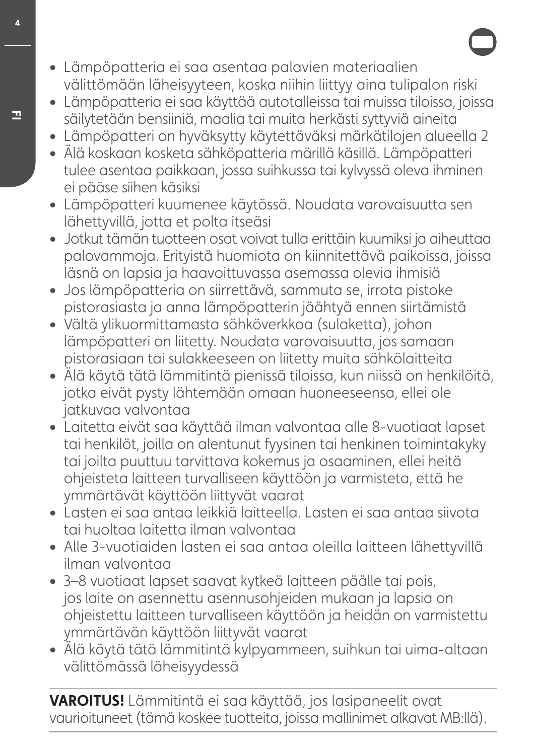- **•** Lämpöpatteria ei saa asentaa palavien materiaalien välittömään läheisyyteen, koska niihin liittyy aina tulipalon riski
- **•** Lämpöpatteria ei saa käyttää autotalleissa tai muissa tiloissa, joissa säilytetään bensiiniä, maalia tai muita herkästi syttyviä aineita
- **•** Lämpöpatteri on hyväksytty käytettäväksi märkätilojen alueella 2
- **•** Älä koskaan kosketa sähköpatteria märillä käsillä. Lämpöpatteri tulee asentaa paikkaan, jossa suihkussa tai kylvyssä oleva ihminen ei pääse siihen käsiksi
- **•** Lämpöpatteri kuumenee käytössä. Noudata varovaisuutta sen lähettyvillä, jotta et polta itseäsi
- **•** Jotkut tämän tuotteen osat voivat tulla erittäin kuumiksi ja aiheuttaa palovammoja. Erityistä huomiota on kiinnitettävä paikoissa, joissa läsnä on lapsia ja haavoittuvassa asemassa olevia ihmisiä
- **•** Jos lämpöpatteria on siirrettävä, sammuta se, irrota pistoke pistorasiasta ja anna lämpöpatterin jäähtyä ennen siirtämistä
- **•** Vältä ylikuormittamasta sähköverkkoa (sulaketta), johon lämpöpatteri on liitetty. Noudata varovaisuutta, jos samaan pistorasiaan tai sulakkeeseen on liitetty muita sähkölaitteita
- **•** Älä käytä tätä lämmitintä pienissä tiloissa, kun niissä on henkilöitä, jotka eivät pysty lähtemään omaan huoneeseensa, ellei ole jatkuvaa valvontaa
- **•** Laitetta eivät saa käyttää ilman valvontaa alle 8-vuotiaat lapset tai henkilöt, joilla on alentunut fyysinen tai henkinen toimintakyky tai joilta puuttuu tarvittava kokemus ja osaaminen, ellei heitä ohjeisteta laitteen turvalliseen käyttöön ja varmisteta, että he ymmärtävät käyttöön liittyvät vaarat
- **•** Lasten ei saa antaa leikkiä laitteella. Lasten ei saa antaa siivota tai huoltaa laitetta ilman valvontaa
- **•** Alle 3-vuotiaiden lasten ei saa antaa oleilla laitteen lähettyvillä ilman valvontaa
- **•** 3–8 vuotiaat lapset saavat kytkeä laitteen päälle tai pois, jos laite on asennettu asennusohjeiden mukaan ja lapsia on ohjeistettu laitteen turvalliseen käyttöön ja heidän on varmistettu ymmärtävän käyttöön liittyvät vaarat
- **•** Älä käytä tätä lämmitintä kylpyammeen, suihkun tai uima-altaan välittömässä läheisyydessä

**VAROITUS!** Lämmitintä ei saa käyttää, jos lasipaneelit ovat vaurioituneet (tämä koskee tuotteita, joissa mallinimet alkavat MB:llä).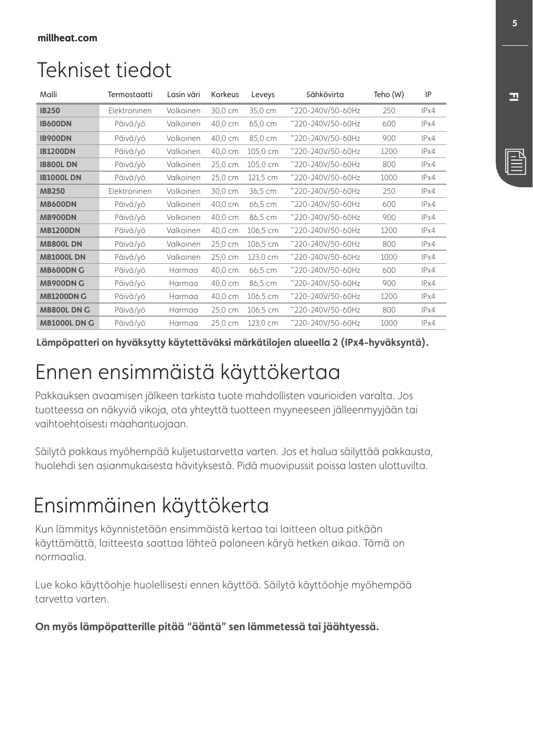## Tekniset tiedot

| Malli               | Termostaatti | Lasin väri | Korkeus | Leveys   | Sähkövirta        | Teho (W) | IP   |
|---------------------|--------------|------------|---------|----------|-------------------|----------|------|
| <b>IB250</b>        | Elektroninen | Volkoinen  | 30,0 cm | 35,0 cm  | ~220-240V/50-60Hz | 250      | IPx4 |
| <b>IB600DN</b>      | Päivä/yö     | Valkoinen  | 40,0 cm | 65,0 cm  | ~220-240V/50-60Hz | 600      | IPx4 |
| <b>IB900DN</b>      | Päivä/vö     | Volkoinen  | 40,0 cm | 85,0 cm  | ~220-240V/50-60Hz | 900      | IPx4 |
| <b>IB1200DN</b>     | Päivä/vö     | Valkoinen  | 40,0 cm | 105,0 cm | ~220-240V/50-60Hz | 1200     | IPx4 |
| <b>IB800LDN</b>     | Päivä/vö     | Valkoinen  | 25,0 cm | 105,0 cm | ~220-240V/50-60Hz | 800      | IPx4 |
| <b>IB1000LDN</b>    | Päivä/yö     | Valkoinen  | 25,0 cm | 121,5 cm | ~220-240V/50-60Hz | 1000     | IPx4 |
| <b>MB250</b>        | Elektroninen | Volkoinen  | 30,0 cm | 36,5 cm  | ~220-240V/50-60Hz | 250      | IPx4 |
| <b>MB600DN</b>      | Päivä/vö     | Valkoinen  | 40,0 cm | 66,5 cm  | ~220-240V/50-60Hz | 600      | IPx4 |
| <b>MB900DN</b>      | Päivä/yö     | Volkoinen  | 40,0 cm | 86,5 cm  | ~220-240V/50-60Hz | 900      | IPx4 |
| <b>MB1200DN</b>     | Päivä/vö     | Valkoinen  | 40,0 cm | 106,5 cm | ~220-240V/50-60Hz | 1200     | IPx4 |
| <b>MB800LDN</b>     | Päivä/vö     | Valkoinen  | 25,0 cm | 106,5 cm | ~220-240V/50-60Hz | 800      | IPx4 |
| <b>MB1000LDN</b>    | Päivä/vö     | Valkoinen  | 25,0 cm | 123,0 cm | ~220-240V/50-60Hz | 1000     | IPx4 |
| <b>MB600DN G</b>    | Päivä/yö     | Harmaa     | 40,0 cm | 66,5 cm  | ~220-240V/50-60Hz | 600      | IPx4 |
| <b>MB900DN G</b>    | Päivä/vö     | Harmaa     | 40,0 cm | 86,5 cm  | ~220-240V/50-60Hz | 900      | IPx4 |
| <b>MB1200DN G</b>   | Päivä/vö     | Harmaa     | 40,0 cm | 106,5 cm | ~220-240V/50-60Hz | 1200     | IPx4 |
| MB800L DN G         | Päivä/yö     | Harmaa     | 25,0 cm | 106,5 cm | ~220-240V/50-60Hz | 800      | IPx4 |
| <b>MB1000L DN G</b> | Päivä/vö     | Harmaa     | 25,0 cm | 123,0 cm | ~220-240V/50-60Hz | 1000     | IPx4 |

**Lämpöpatteri on hyväksytty käytettäväksi märkätilojen alueella 2 (IPx4-hyväksyntä).**

## Ennen ensimmäistä käyttökertaa

Pakkauksen avaamisen jälkeen tarkista tuote mahdollisten vaurioiden varalta. Jos tuotteessa on näkyviä vikoja, ota yhteyttä tuotteen myyneeseen jälleenmyyjään tai vaihtoehtoisesti maahantuojaan.

Säilytä pakkaus myöhempää kuljetustarvetta varten. Jos et halua säilyttää pakkausta, huolehdi sen asianmukaisesta hävityksestä. Pidä muovipussit poissa lasten ulottuvilta.

## Ensimmäinen käyttökerta

Kun lämmitys käynnistetään ensimmäistä kertaa tai laitteen oltua pitkään käyttämättä, laitteesta saattaa lähteä palaneen käryä hetken aikaa. Tämä on normaalia.

Lue koko käyttöohje huolellisesti ennen käyttöä. Säilytä käyttöohje myöhempää tarvetta varten.

**On myös lämpöpatterille pitää "ääntä" sen lämmetessä tai jäähtyessä.**

**FI**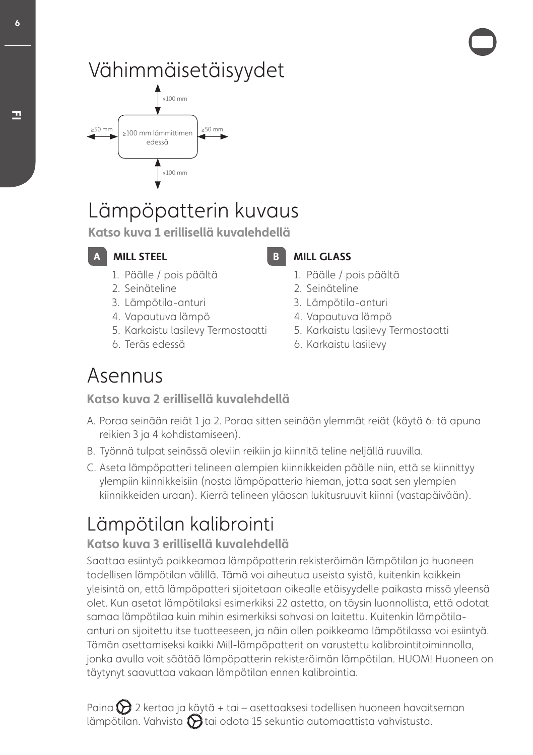## Vähimmäisetäisyydet



## Lämpöpatterin kuvaus

**Katso kuva 1 erillisellä kuvalehdellä**

**A** MILL STEEL

- 1. Päälle / pois päältä
- 2. Seinäteline
- 3. Lämpötila-anturi
- 4. Vapautuva lämpö
- 5. Karkaistu lasilevy Termostaatti
- 6. Teräs edessä

**MILL GLASS** 

- 1. Päälle / pois päältä
- 2. Seinäteline
- 3. Lämpötila-anturi
- 4. Vapautuva lämpö
- 5. Karkaistu lasilevy Termostaatti
- 6. Karkaistu lasilevy

## Asennus

**Katso kuva 2 erillisellä kuvalehdellä**

- A. Poraa seinään reiät 1 ja 2. Poraa sitten seinään ylemmät reiät (käytä 6: tä apuna reikien 3 ja 4 kohdistamiseen).
- B. Työnnä tulpat seinässä oleviin reikiin ja kiinnitä teline neljällä ruuvilla.
- C. Aseta lämpöpatteri telineen alempien kiinnikkeiden päälle niin, että se kiinnittyy ylempiin kiinnikkeisiin (nosta lämpöpatteria hieman, jotta saat sen ylempien kiinnikkeiden uraan). Kierrä telineen yläosan lukitusruuvit kiinni (vastapäivään).

## Lämpötilan kalibrointi

## **Katso kuva 3 erillisellä kuvalehdellä**

Saattaa esiintyä poikkeamaa lämpöpatterin rekisteröimän lämpötilan ja huoneen todellisen lämpötilan välillä. Tämä voi aiheutua useista syistä, kuitenkin kaikkein yleisintä on, että lämpöpatteri sijoitetaan oikealle etäisyydelle paikasta missä yleensä olet. Kun asetat lämpötilaksi esimerkiksi 22 astetta, on täysin luonnollista, että odotat samaa lämpötilaa kuin mihin esimerkiksi sohvasi on laitettu. Kuitenkin lämpötilaanturi on sijoitettu itse tuotteeseen, ja näin ollen poikkeama lämpötilassa voi esiintyä. Tämän asettamiseksi kaikki Mill-lämpöpatterit on varustettu kalibrointitoiminnolla, jonka avulla voit säätää lämpöpatterin rekisteröimän lämpötilan. HUOM! Huoneen on täytynyt saavuttaa vakaan lämpötilan ennen kalibrointia.

Paina  $\sum$  2 kertaa ja käytä + tai – asettaaksesi todellisen huoneen havaitseman lämpötilan. Vahvista  $\bigcirc$ tai odota 15 sekuntia automaattista vahvistusta.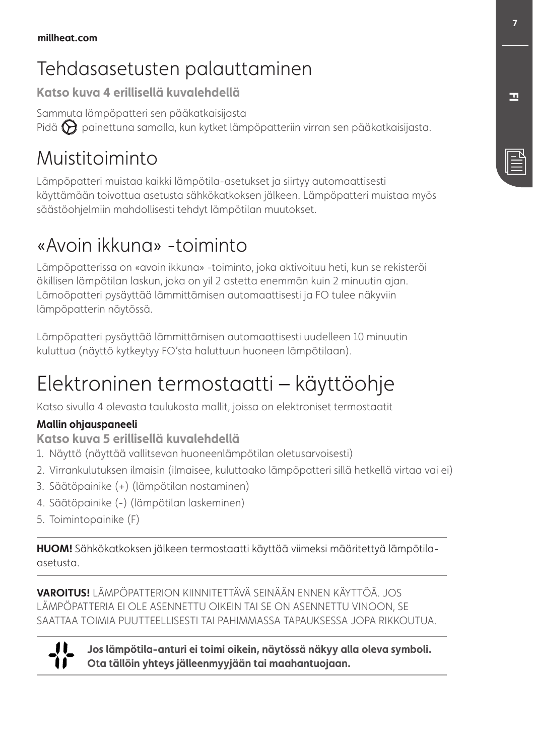## Tehdasasetusten palauttaminen

**Katso kuva 4 erillisellä kuvalehdellä**

Sammuta lämpöpatteri sen pääkatkaisijasta Pidä  $\bigotimes$  painettuna samalla, kun kytket lämpöpatteriin virran sen pääkatkaisijasta.

## Muistitoiminto

Lämpöpatteri muistaa kaikki lämpötila-asetukset ja siirtyy automaattisesti käyttämään toivottua asetusta sähkökatkoksen jälkeen. Lämpöpatteri muistaa myös säästöohjelmiin mahdollisesti tehdyt lämpötilan muutokset.

## «Avoin ikkuna» -toiminto

Lämpöpatterissa on «avoin ikkuna» -toiminto, joka aktivoituu heti, kun se rekisteröi äkillisen lämpötilan laskun, joka on yil 2 astetta enemmän kuin 2 minuutin ajan. Lämoöpatteri pysäyttää lämmittämisen automaattisesti ja FO tulee näkyviin lämpöpatterin näytössä.

Lämpöpatteri pysäyttää lämmittämisen automaattisesti uudelleen 10 minuutin kuluttua (näyttö kytkeytyy FO'sta haluttuun huoneen lämpötilaan).

## Elektroninen termostaatti – käyttöohje

Katso sivulla 4 olevasta taulukosta mallit, joissa on elektroniset termostaatit

### **Mallin ohjauspaneeli**

**Katso kuva 5 erillisellä kuvalehdellä**

- 1. Näyttö (näyttää vallitsevan huoneenlämpötilan oletusarvoisesti)
- 2. Virrankulutuksen ilmaisin (ilmaisee, kuluttaako lämpöpatteri sillä hetkellä virtaa vai ei)
- 3. Säätöpainike (+) (lämpötilan nostaminen)
- 4. Säätöpainike (-) (lämpötilan laskeminen)
- 5. Toimintopainike (F)

**HUOM!** Sähkökatkoksen jälkeen termostaatti käyttää viimeksi määritettyä lämpötilaasetusta.

**VAROITUS!** LÄMPÖPATTERION KIINNITETTÄVÄ SEINÄÄN ENNEN KÄYTTÖÄ. JOS LÄMPÖPATTERIA EI OLE ASENNETTU OIKEIN TAI SE ON ASENNETTU VINOON, SE SAATTAA TOIMIA PUUTTEELLISESTI TAI PAHIMMASSA TAPAUKSESSA JOPA RIKKOUTUA.

n

**Jos lämpötila-anturi ei toimi oikein, näytössä näkyy alla oleva symboli. Ota tällöin yhteys jälleenmyyjään tai maahantuojaan.**

**FI**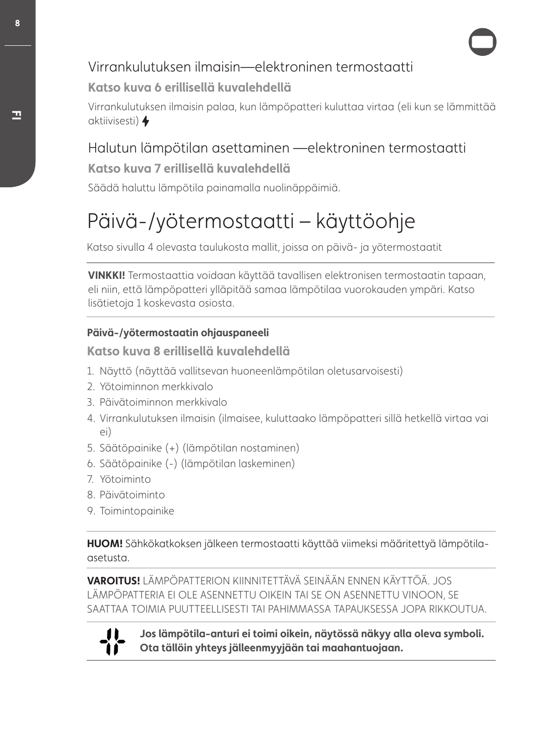## Virrankulutuksen ilmaisin—elektroninen termostaatti

### **Katso kuva 6 erillisellä kuvalehdellä**

Virrankulutuksen ilmaisin palaa, kun lämpöpatteri kuluttaa virtaa (eli kun se lämmittää aktiivisesti)

## Halutun lämpötilan asettaminen —elektroninen termostaatti

### **Katso kuva 7 erillisellä kuvalehdellä**

Säädä haluttu lämpötila painamalla nuolinäppäimiä.

## Päivä-/yötermostaatti – käyttöohje

Katso sivulla 4 olevasta taulukosta mallit, joissa on päivä- ja yötermostaatit

**VINKKI!** Termostaattia voidaan käyttää tavallisen elektronisen termostaatin tapaan, eli niin, että lämpöpatteri ylläpitää samaa lämpötilaa vuorokauden ympäri. Katso lisätietoja 1 koskevasta osiosta.

### **Päivä-/yötermostaatin ohjauspaneeli**

**Katso kuva 8 erillisellä kuvalehdellä**

- 1. Näyttö (näyttää vallitsevan huoneenlämpötilan oletusarvoisesti)
- 2. Yötoiminnon merkkivalo
- 3. Päivätoiminnon merkkivalo
- 4. Virrankulutuksen ilmaisin (ilmaisee, kuluttaako lämpöpatteri sillä hetkellä virtaa vai ei)
- 5. Säätöpainike (+) (lämpötilan nostaminen)
- 6. Säätöpainike (-) (lämpötilan laskeminen)
- 7. Yötoiminto
- 8. Päivätoiminto
- 9. Toimintopainike

**HUOM!** Sähkökatkoksen jälkeen termostaatti käyttää viimeksi määritettyä lämpötilaasetusta.

**VAROITUS!** LÄMPÖPATTERION KIINNITETTÄVÄ SEINÄÄN ENNEN KÄYTTÖÄ. JOS LÄMPÖPATTERIA EI OLE ASENNETTU OIKEIN TAI SE ON ASENNETTU VINOON, SE SAATTAA TOIMIA PUUTTEELLISESTI TAI PAHIMMASSA TAPAUKSESSA JOPA RIKKOUTUA.



**Jos lämpötila-anturi ei toimi oikein, näytössä näkyy alla oleva symboli. Ota tällöin yhteys jälleenmyyjään tai maahantuojaan.**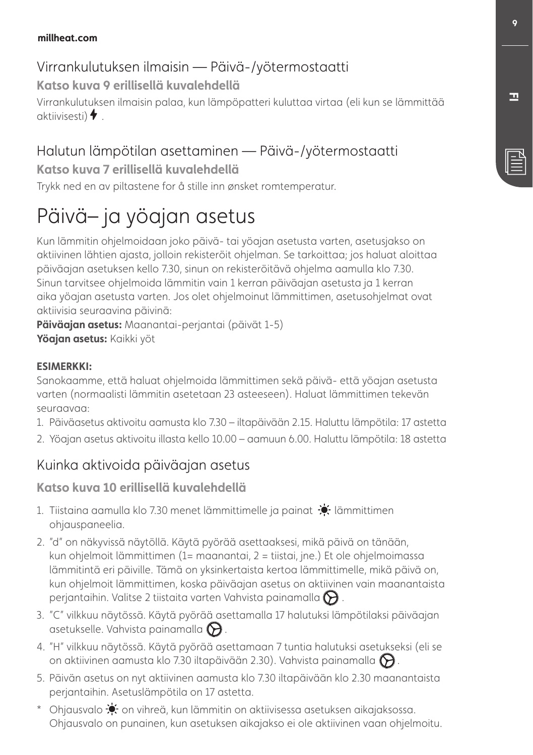### **millheat.com**

## Virrankulutuksen ilmaisin — Päivä-/yötermostaatti

**Katso kuva 9 erillisellä kuvalehdellä**

Virrankulutuksen ilmaisin palaa, kun lämpöpatteri kuluttaa virtaa (eli kun se lämmittää aktiivisesti)  $\blacklozenge$ 

## Halutun lämpötilan asettaminen — Päivä-/yötermostaatti

### **Katso kuva 7 erillisellä kuvalehdellä**

Trykk ned en av piltastene for å stille inn ønsket romtemperatur.

## Päivä– ja yöajan asetus

Kun lämmitin ohjelmoidaan joko päivä- tai yöajan asetusta varten, asetusjakso on aktiivinen lähtien ajasta, jolloin rekisteröit ohjelman. Se tarkoittaa; jos haluat aloittaa päiväajan asetuksen kello 7.30, sinun on rekisteröitävä ohjelma aamulla klo 7.30. Sinun tarvitsee ohjelmoida lämmitin vain 1 kerran päiväajan asetusta ja 1 kerran aika yöajan asetusta varten. Jos olet ohjelmoinut lämmittimen, asetusohjelmat ovat aktiivisia seuraavina päivinä:

**Päiväajan asetus:** Maanantai-perjantai (päivät 1-5) **Yöajan asetus:** Kaikki yöt

### **ESIMERKKI:**

Sanokaamme, että haluat ohjelmoida lämmittimen sekä päivä- että yöajan asetusta varten (normaalisti lämmitin asetetaan 23 asteeseen). Haluat lämmittimen tekevän seuraavaa:

- 1. Päiväasetus aktivoitu aamusta klo 7.30 iltapäivään 2.15. Haluttu lämpötila: 17 astetta
- 2. Yöajan asetus aktivoitu illasta kello 10.00 aamuun 6.00. Haluttu lämpötila: 18 astetta

## Kuinka aktivoida päiväajan asetus

### **Katso kuva 10 erillisellä kuvalehdellä**

- 1. Tiistaina aamulla klo 7.30 menet lämmittimelle ja painat  $\mathcal{N}$  lämmittimen ohjauspaneelia.
- 2. "d" on näkyvissä näytöllä. Käytä pyörää asettaaksesi, mikä päivä on tänään, kun ohjelmoit lämmittimen (1= maanantai, 2 = tiistai, jne.) Et ole ohjelmoimassa lämmitintä eri päiville. Tämä on yksinkertaista kertoa lämmittimelle, mikä päivä on, kun ohjelmoit lämmittimen, koska päiväajan asetus on aktiivinen vain maanantaista perjantaihin. Valitse 2 tiistaita varten Vahvista painamalla  $\bigotimes$  .
- 3. "C" vilkkuu näytössä. Käytä pyörää asettamalla 17 halutuksi lämpötilaksi päiväajan asetukselle. Vahvista painamalla  $\bigotimes$ .
- 4. "H" vilkkuu näytössä. Käytä pyörää asettamaan 7 tuntia halutuksi asetukseksi (eli se on aktiivinen aamusta klo 7.30 iltapäivään 2.30). Vahvista painamalla  $\bigotimes$ .
- 5. Päivän asetus on nyt aktiivinen aamusta klo 7.30 iltapäivään klo 2.30 maanantaista perjantaihin. Asetuslämpötila on 17 astetta.
- \* Ohjausvalo  $\bullet$  on vihreä, kun lämmitin on aktiivisessa asetuksen aikajaksossa. Ohjausvalo on punainen, kun asetuksen aikajakso ei ole aktiivinen vaan ohjelmoitu.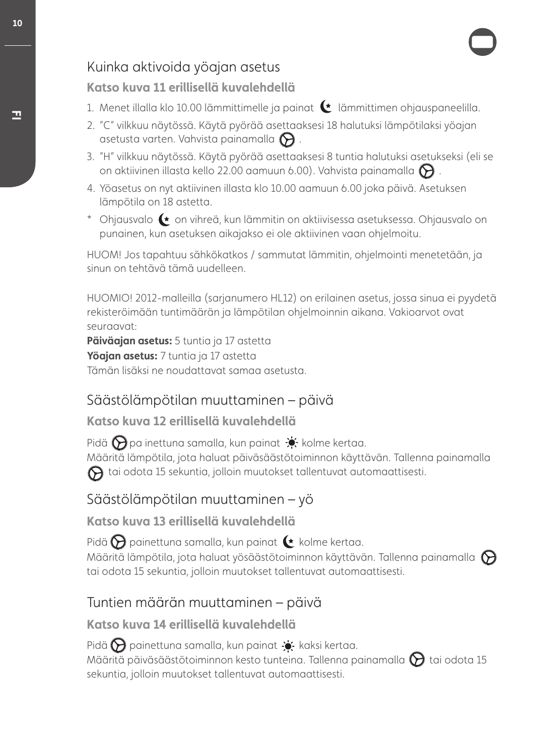## Kuinka aktivoida yöajan asetus

### **Katso kuva 11 erillisellä kuvalehdellä**

- 1. Menet illalla klo 10.00 lämmittimelle ja painat (t lämmittimen ohjauspaneelilla.
- 2. "C" vilkkuu näytössä. Käytä pyörää asettaaksesi 18 halutuksi lämpötilaksi yöajan asetusta varten. Vahvista painamalla  $\bigcirc$ .
- 3. "H" vilkkuu näytössä. Käytä pyörää asettaaksesi 8 tuntia halutuksi asetukseksi (eli se on aktiivinen illasta kello 22.00 aamuun 6.00). Vahvista painamalla  $\bigotimes$  .
- 4. Yöasetus on nyt aktiivinen illasta klo 10.00 aamuun 6.00 joka päivä. Asetuksen lämpötila on 18 astetta.
- \* Ohjausvalo  $\blacklozenge$  on vihreä, kun lämmitin on aktiivisessa asetuksessa. Ohjausvalo on punainen, kun asetuksen aikajakso ei ole aktiivinen vaan ohjelmoitu.

HUOM! Jos tapahtuu sähkökatkos / sammutat lämmitin, ohjelmointi menetetään, ja sinun on tehtävä tämä uudelleen.

HUOMIO! 2012-malleilla (sarjanumero HL12) on erilainen asetus, jossa sinua ei pyydetä rekisteröimään tuntimäärän ja lämpötilan ohjelmoinnin aikana. Vakioarvot ovat seuraavat:

**Päiväajan asetus:** 5 tuntia ja 17 astetta **Yöajan asetus:** 7 tuntia ja 17 astetta Tämän lisäksi ne noudattavat samaa asetusta.

## Säästölämpötilan muuttaminen – päivä

### **Katso kuva 12 erillisellä kuvalehdellä**

Pidä  $\bigcirc$  pa inettuna samalla, kun painat  $\bullet$ , kolme kertaa. Määritä lämpötila, jota haluat päiväsäästötoiminnon käyttävän. Tallenna painamalla  $\bigodot$  tai odota 15 sekuntia, jolloin muutokset tallentuvat automaattisesti.

## Säästölämpötilan muuttaminen – yö

**Katso kuva 13 erillisellä kuvalehdellä**

Pidä  $\bigcirc$  painettuna samalla, kun painat  $\leftarrow$  kolme kertaa.

Määritä lämpötila, jota haluat yösäästötoiminnon käyttävän. Tallenna painamalla  $\bigotimes$ tai odota 15 sekuntia, jolloin muutokset tallentuvat automaattisesti.

## Tuntien määrän muuttaminen – päivä

### **Katso kuva 14 erillisellä kuvalehdellä**

Pidä  $\bigodot$  painettuna samalla, kun painat  $\bullet$  kaksi kertaa. Määritä päiväsäästötoiminnon kesto tunteina. Tallenna painamalla  $\bigotimes$ tai odota 15 sekuntia, jolloin muutokset tallentuvat automaattisesti.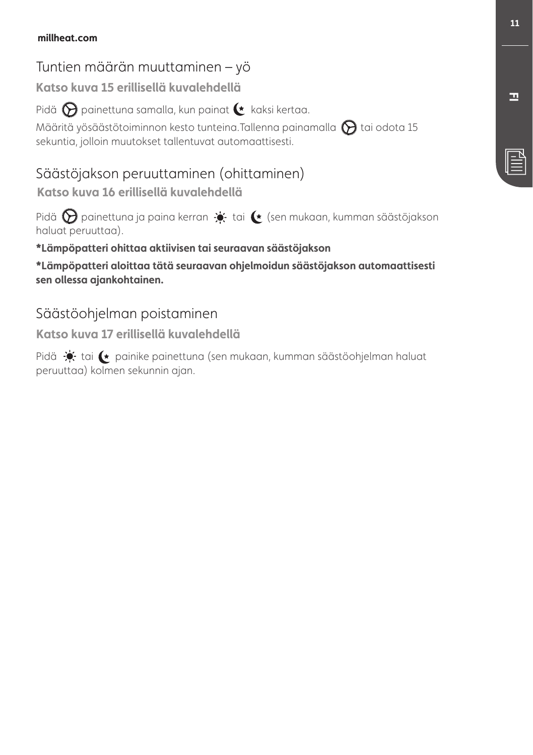### **millheat.com**

## Tuntien määrän muuttaminen – yö

**Katso kuva 15 erillisellä kuvalehdellä**

Pidä  $\bigotimes$  painettuna samalla, kun painat  $\bullet$  kaksi kertaa.

Määritä yösäästötoiminnon kesto tunteina.Tallenna painamalla  $\bigcirc$ tai odota 15 sekuntia, jolloin muutokset tallentuvat automaattisesti.

## Säästöjakson peruuttaminen (ohittaminen)

**Katso kuva 16 erillisellä kuvalehdellä**

Pidä  $\bigotimes$  painettuna ja paina kerran  $\Rightarrow$  tai  $\leftarrow$  (sen mukaan, kumman säästöjakson haluat peruuttaa).

### **\*Lämpöpatteri ohittaa aktiivisen tai seuraavan säästöjakson**

**\*Lämpöpatteri aloittaa tätä seuraavan ohjelmoidun säästöjakson automaattisesti sen ollessa ajankohtainen.**

## Säästöohjelman poistaminen

**Katso kuva 17 erillisellä kuvalehdellä**

Pidä  $\bullet$  tai  $\bullet$  painike painettuna (sen mukaan, kumman säästöohjelman haluat peruuttaa) kolmen sekunnin ajan.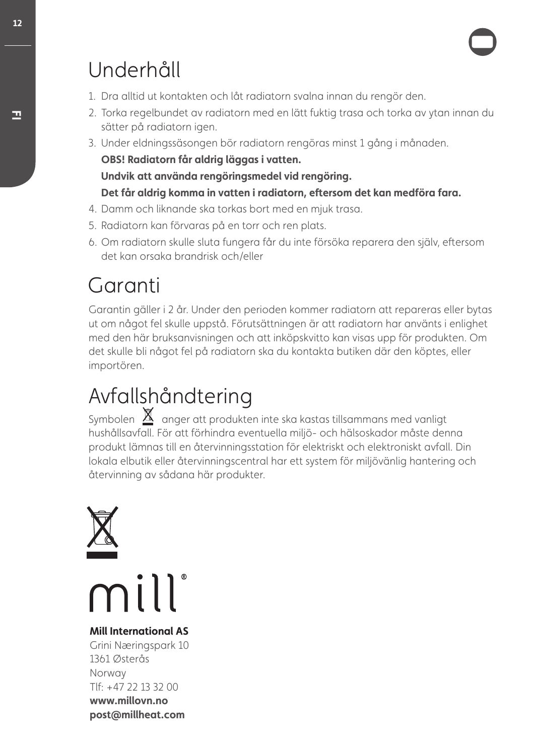## Underhåll

- 1. Dra alltid ut kontakten och låt radiatorn svalna innan du rengör den.
- 2. Torka regelbundet av radiatorn med en lätt fuktig trasa och torka av ytan innan du sätter på radiatorn igen.
- 3. Under eldningssäsongen bör radiatorn rengöras minst 1 gång i månaden. **OBS! Radiatorn får aldrig läggas i vatten.**

**Undvik att använda rengöringsmedel vid rengöring.**

### **Det får aldrig komma in vatten i radiatorn, eftersom det kan medföra fara.**

- 4. Damm och liknande ska torkas bort med en mjuk trasa.
- 5. Radiatorn kan förvaras på en torr och ren plats.
- 6. Om radiatorn skulle sluta fungera får du inte försöka reparera den själv, eftersom det kan orsaka brandrisk och/eller

## Garanti

Garantin gäller i 2 år. Under den perioden kommer radiatorn att repareras eller bytas ut om något fel skulle uppstå. Förutsättningen är att radiatorn har använts i enlighet med den här bruksanvisningen och att inköpskvitto kan visas upp för produkten. Om det skulle bli något fel på radiatorn ska du kontakta butiken där den köptes, eller importören.

## Avfallshåndtering

Symbolen  $\underline{\mathbb{X}}$  anger att produkten inte ska kastas tillsammans med vanligt hushållsavfall. För att förhindra eventuella miljö- och hälsoskador måste denna produkt lämnas till en återvinningsstation för elektriskt och elektroniskt avfall. Din lokala elbutik eller återvinningscentral har ett system för miljövänlig hantering och återvinning av sådana här produkter.



mill

### **Mill International AS**

Grini Næringspark 10 1361 Østerås Norway Tlf: +47 22 13 32 00 **www.millovn.no post@millheat.com**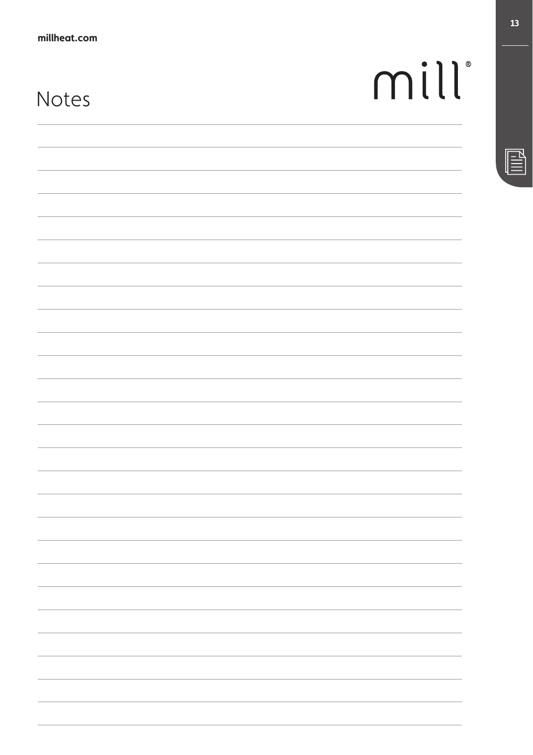## Notes

| mill |  |  |  |
|------|--|--|--|
|      |  |  |  |

<u> 1989 - Jan Samuel Barbara, margaret eta idazlea (h. 1989).</u>

<u> 1989 - Andrea Santa Andrea Andrea Andrea Andrea Andrea Andrea Andrea Andrea Andrea Andrea Andrea Andrea Andr</u>

,我们也不能在这里的时候,我们也不能在这里的时候,我们也不能会在这里的时候,我们也不能会在这里的时候,我们也不能会在这里的时候,我们也不能会在这里的时候,我们也

 $\sim$